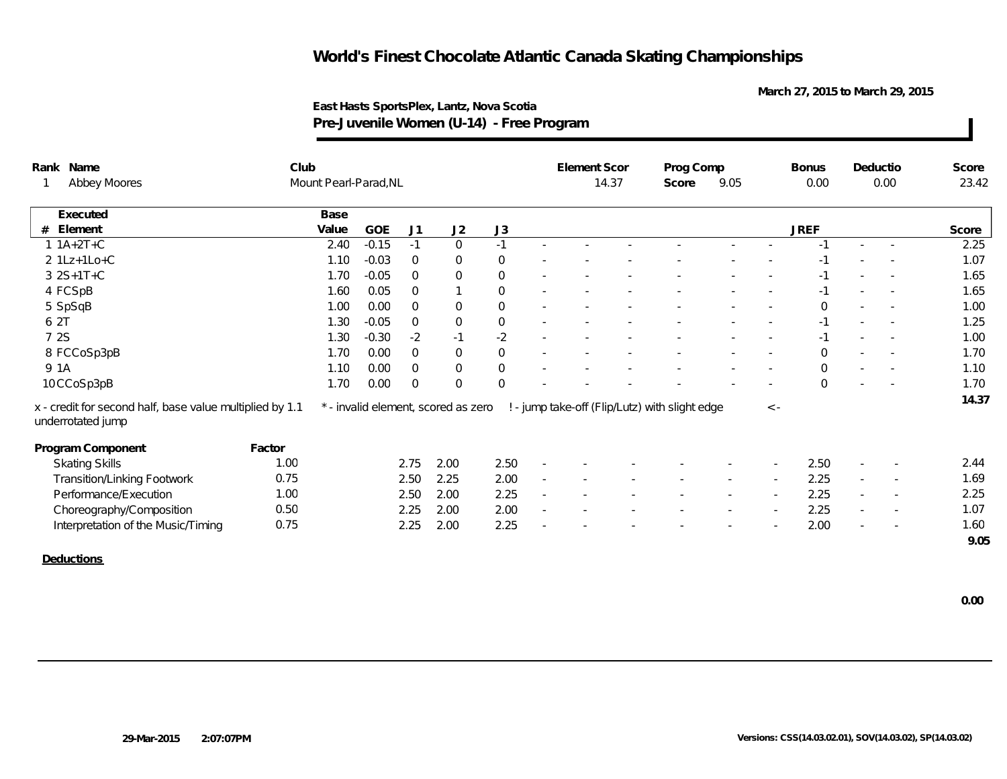**March 27, 2015 to March 29, 2015**

| Rank Name                                                                     |        | Club                  |         |                |                                     |                     |                          | <b>Element Scor</b> |       | Prog Comp                                      |        |          | <b>Bonus</b>   | Deductio                 |                          | Score |
|-------------------------------------------------------------------------------|--------|-----------------------|---------|----------------|-------------------------------------|---------------------|--------------------------|---------------------|-------|------------------------------------------------|--------|----------|----------------|--------------------------|--------------------------|-------|
| Abbey Moores                                                                  |        | Mount Pearl-Parad, NL |         |                |                                     |                     |                          |                     | 14.37 | Score                                          | 9.05   |          | 0.00           |                          | 0.00                     | 23.42 |
| Executed                                                                      |        | Base                  |         |                |                                     |                     |                          |                     |       |                                                |        |          |                |                          |                          |       |
| Element<br>#                                                                  |        | Value                 | GOE     | J <sub>1</sub> | J2                                  | J3                  |                          |                     |       |                                                |        |          | <b>JREF</b>    |                          |                          | Score |
| $1 1A+2T+C$                                                                   |        | 2.40                  | $-0.15$ | $-1$           | $\overline{0}$                      | $-1$                | $\sim$                   |                     |       |                                                |        |          |                |                          |                          | 2.25  |
| 2 1Lz+1Lo+C                                                                   |        | 1.10                  | $-0.03$ | $\overline{0}$ | $\overline{0}$                      | $\mathbf 0$         |                          |                     |       |                                                |        |          | -1             |                          |                          | 1.07  |
| $3 2S+1T+C$                                                                   |        | 1.70                  | $-0.05$ | $\Omega$       | $\mathbf 0$                         | $\mathsf{O}\xspace$ |                          |                     |       |                                                |        |          | $-1$           |                          |                          | 1.65  |
| 4 FCSpB                                                                       |        | 1.60                  | 0.05    | $\overline{0}$ |                                     | $\boldsymbol{0}$    |                          |                     |       |                                                |        |          |                |                          |                          | 1.65  |
| 5 SpSqB                                                                       |        | 1.00                  | 0.00    | $\overline{0}$ | $\mathbf 0$                         | $\boldsymbol{0}$    | $\sim$                   |                     |       |                                                |        |          | $\Omega$       | $\sim$                   |                          | 1.00  |
| 6 2T                                                                          |        | 1.30                  | $-0.05$ | $\overline{0}$ | $\boldsymbol{0}$                    | $\mathsf O$         | $\sim$                   |                     |       |                                                |        |          | $-1$           |                          |                          | 1.25  |
| 7 2S                                                                          |        | 1.30                  | $-0.30$ | $-2$           | $-1$                                | $-2$                |                          |                     |       |                                                |        |          | -1             |                          | $\sim$                   | 1.00  |
| 8 FCCoSp3pB                                                                   |        | 1.70                  | 0.00    | $\overline{0}$ | $\mathsf{O}$                        | $\boldsymbol{0}$    |                          |                     |       |                                                |        |          | $\Omega$       |                          |                          | 1.70  |
| 9 1A                                                                          |        | 1.10                  | 0.00    | $\overline{0}$ | $\mathbf 0$                         | $\mathbf 0$         |                          |                     |       |                                                |        |          | $\overline{O}$ |                          |                          | 1.10  |
| 10CCoSp3pB                                                                    |        | 1.70                  | 0.00    | $\overline{0}$ | $\Omega$                            | $\mathbf 0$         |                          |                     |       |                                                |        |          | $\Omega$       |                          |                          | 1.70  |
| x - credit for second half, base value multiplied by 1.1<br>underrotated jump |        |                       |         |                | * - invalid element, scored as zero |                     |                          |                     |       | ! - jump take-off (Flip/Lutz) with slight edge |        | $\leq$ - |                |                          |                          | 14.37 |
| Program Component                                                             | Factor |                       |         |                |                                     |                     |                          |                     |       |                                                |        |          |                |                          |                          |       |
| <b>Skating Skills</b>                                                         | 1.00   |                       |         | 2.75           | 2.00                                | 2.50                | $\overline{\phantom{a}}$ |                     |       |                                                |        |          | 2.50           |                          |                          | 2.44  |
| Transition/Linking Footwork                                                   | 0.75   |                       |         | 2.50           | 2.25                                | 2.00                | $\overline{\phantom{a}}$ |                     |       |                                                |        |          | 2.25           | $\overline{\phantom{a}}$ |                          | 1.69  |
| Performance/Execution                                                         | 1.00   |                       |         | 2.50           | 2.00                                | 2.25                | $\sim$                   |                     |       |                                                | $\sim$ | $\sim$   | 2.25           | $\sim$                   | $\overline{\phantom{a}}$ | 2.25  |
| Choreography/Composition                                                      | 0.50   |                       |         | 2.25           | 2.00                                | 2.00                | $\sim$                   |                     |       |                                                |        | $\sim$   | 2.25           | $\sim$                   | $\overline{\phantom{a}}$ | 1.07  |
| Interpretation of the Music/Timing                                            | 0.75   |                       |         | 2.25           | 2.00                                | 2.25                |                          |                     |       |                                                |        |          | 2.00           |                          |                          | 1.60  |
|                                                                               |        |                       |         |                |                                     |                     |                          |                     |       |                                                |        |          |                |                          |                          | 9.05  |
| Deductions                                                                    |        |                       |         |                |                                     |                     |                          |                     |       |                                                |        |          |                |                          |                          |       |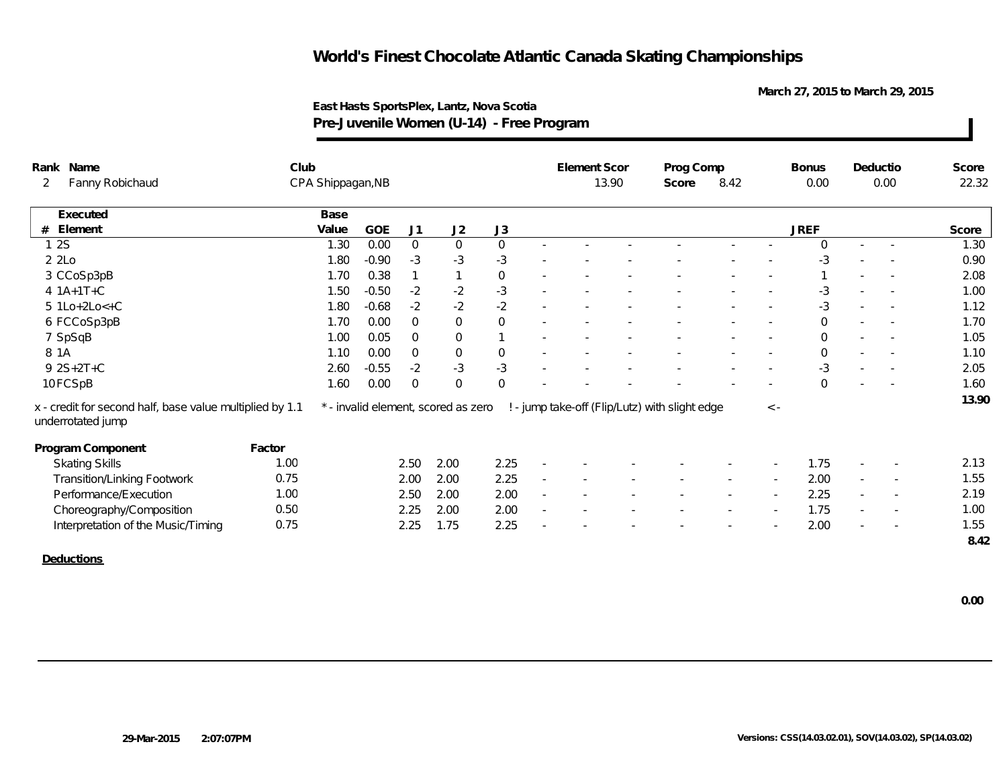**March 27, 2015 to March 29, 2015**

| $\overline{2}$ | Rank Name<br>Fanny Robichaud                                                  | Club   |       |                   |                |                                     |                  | Element Scor |       | Prog Comp                                      |        |                          | <b>Bonus</b> | Deductio                 |                          | Score |
|----------------|-------------------------------------------------------------------------------|--------|-------|-------------------|----------------|-------------------------------------|------------------|--------------|-------|------------------------------------------------|--------|--------------------------|--------------|--------------------------|--------------------------|-------|
|                |                                                                               |        |       | CPA Shippagan, NB |                |                                     |                  |              | 13.90 | Score                                          | 8.42   |                          | 0.00         |                          | 0.00                     | 22.32 |
|                | Executed                                                                      |        | Base  |                   |                |                                     |                  |              |       |                                                |        |                          |              |                          |                          |       |
| #              | Element                                                                       |        | Value | GOE               | J1             | J2                                  | J3               |              |       |                                                |        |                          | <b>JREF</b>  |                          |                          | Score |
|                | 1 2 S                                                                         |        | 1.30  | 0.00              | $\mathbf 0$    | $\mathbf 0$                         | $\mathbf 0$      |              |       |                                                |        |                          | $\Omega$     |                          |                          | 1.30  |
|                | 2 2Lo                                                                         |        | 1.80  | $-0.90$           | $-3$           | $-3$                                | $-3$             |              |       |                                                |        |                          | -3           |                          |                          | 0.90  |
|                | 3 CCoSp3pB                                                                    |        | 1.70  | 0.38              |                | $\mathbf{1}$                        | $\mathbf 0$      |              |       |                                                |        |                          |              |                          | $\overline{\phantom{a}}$ | 2.08  |
|                | 4 $1A+1T+C$                                                                   |        | 1.50  | $-0.50$           | $-2$           | $-2$                                | $-3$             |              |       |                                                |        |                          | $-3$         |                          |                          | 1.00  |
|                | $5 1Lo+2Lo<+C$                                                                |        | 1.80  | $-0.68$           | $-2$           | $-2$                                | $-2$             |              |       |                                                |        |                          | $-3$         | $\sim$                   |                          | 1.12  |
|                | 6 FCCoSp3pB                                                                   |        | 1.70  | 0.00              | $\Omega$       | $\mathbf 0$                         | $\mathbf 0$      |              |       |                                                |        |                          | $\Omega$     |                          |                          | 1.70  |
|                | 7 SpSqB                                                                       |        | 1.00  | 0.05              | $\overline{0}$ | $\mathbf 0$                         |                  |              |       |                                                |        |                          | $\mathbf 0$  |                          |                          | 1.05  |
| 8 1 A          |                                                                               |        | 1.10  | 0.00              | $\overline{0}$ | $\mathsf{O}\xspace$                 | $\boldsymbol{0}$ |              |       |                                                |        |                          | $\mathbf 0$  | $\sim$                   |                          | 1.10  |
|                | 9 2S+2T+C                                                                     |        | 2.60  | $-0.55$           | $-2$           | $-3$                                | $-3$             |              |       |                                                |        |                          | $-3$         | $\sim$                   |                          | 2.05  |
|                | 10 FCSpB                                                                      |        | 1.60  | 0.00              | $\Omega$       | $\Omega$                            | $\mathbf 0$      |              |       |                                                |        |                          | $\Omega$     |                          |                          | 1.60  |
|                | x - credit for second half, base value multiplied by 1.1<br>underrotated jump |        |       |                   |                | * - invalid element, scored as zero |                  |              |       | ! - jump take-off (Flip/Lutz) with slight edge |        | $\,<\,$ -                |              |                          |                          | 13.90 |
|                | Program Component                                                             | Factor |       |                   |                |                                     |                  |              |       |                                                |        |                          |              |                          |                          |       |
|                | <b>Skating Skills</b>                                                         | 1.00   |       |                   | 2.50           | 2.00                                | 2.25             |              |       |                                                |        |                          | 1.75         |                          |                          | 2.13  |
|                | <b>Transition/Linking Footwork</b>                                            | 0.75   |       |                   | 2.00           | 2.00                                | 2.25             |              |       |                                                |        |                          | 2.00         | $\overline{\phantom{a}}$ |                          | 1.55  |
|                | Performance/Execution                                                         | 1.00   |       |                   | 2.50           | 2.00                                | 2.00             |              |       |                                                | $\sim$ | $\overline{\phantom{a}}$ | 2.25         | $\sim$                   | $\overline{\phantom{a}}$ | 2.19  |
|                | Choreography/Composition                                                      | 0.50   |       |                   | 2.25           | 2.00                                | 2.00             |              |       |                                                |        | $\overline{\phantom{a}}$ | 1.75         | $\sim$                   | $\overline{\phantom{a}}$ | 1.00  |
|                | Interpretation of the Music/Timing                                            | 0.75   |       |                   | 2.25           | 1.75                                | 2.25             |              |       |                                                |        |                          | 2.00         |                          |                          | 1.55  |
|                |                                                                               |        |       |                   |                |                                     |                  |              |       |                                                |        |                          |              |                          |                          | 8.42  |
|                | Deductions                                                                    |        |       |                   |                |                                     |                  |              |       |                                                |        |                          |              |                          |                          |       |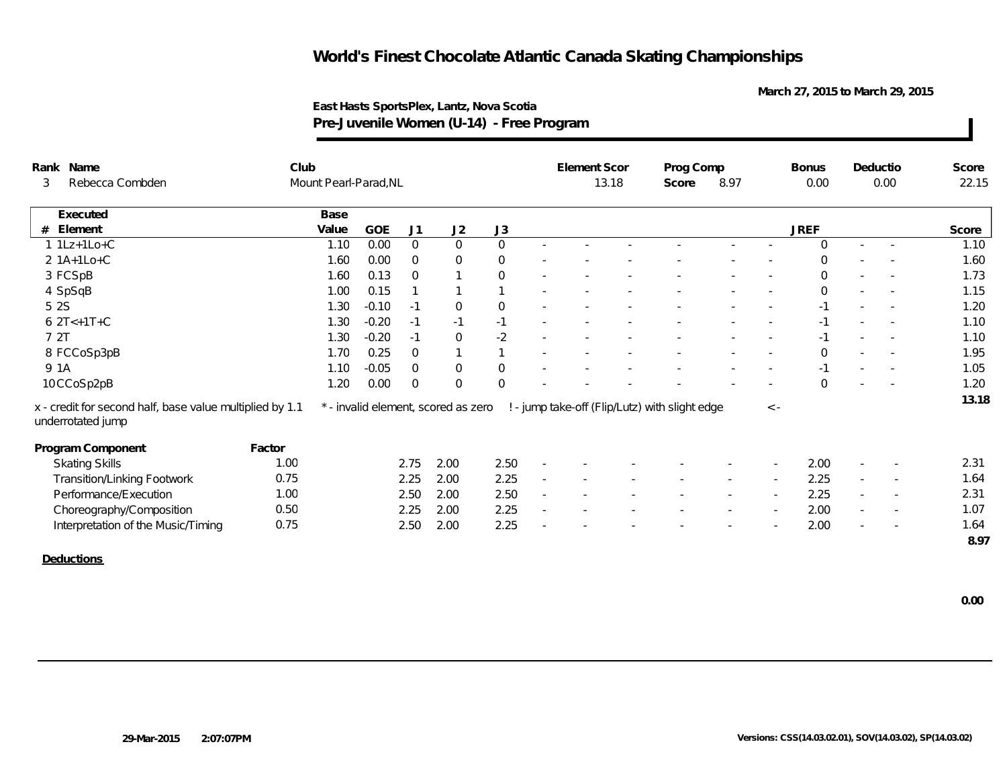**March 27, 2015 to March 29, 2015**

| Rank Name                                                                     | Club   |                       |         |                |                                     |                |                          | <b>Element Scor</b> |       | Prog Comp                                      |        |                          | <b>Bonus</b> | Deductio                 |                          | Score        |
|-------------------------------------------------------------------------------|--------|-----------------------|---------|----------------|-------------------------------------|----------------|--------------------------|---------------------|-------|------------------------------------------------|--------|--------------------------|--------------|--------------------------|--------------------------|--------------|
| Rebecca Combden<br>3                                                          |        | Mount Pearl-Parad, NL |         |                |                                     |                |                          |                     | 13.18 | Score                                          | 8.97   |                          | 0.00         |                          | 0.00                     | 22.15        |
| Executed                                                                      |        | Base                  |         |                |                                     |                |                          |                     |       |                                                |        |                          |              |                          |                          |              |
| Element<br>#                                                                  |        | Value                 | GOE     | J1             | J2                                  | J3             |                          |                     |       |                                                |        |                          | <b>JREF</b>  |                          |                          | Score        |
| $1 1Lz+1Lo+C$                                                                 |        | 1.10                  | 0.00    | $\overline{0}$ | $\overline{0}$                      | $\overline{0}$ | $\sim$                   |                     |       |                                                | $\sim$ |                          | $\Omega$     | $\sim$                   | $\sim$                   | 1.10         |
| $2 1A+1Lo+C$                                                                  |        | 1.60                  | 0.00    | $\overline{0}$ | $\mathbf 0$                         | $\mathbf 0$    |                          |                     |       |                                                |        |                          | $\Omega$     |                          |                          | 1.60         |
| 3 FCSpB                                                                       |        | 1.60                  | 0.13    | $\overline{0}$ | $\mathbf{1}$                        | $\mathbf 0$    |                          |                     |       |                                                |        |                          | $\Omega$     |                          |                          | 1.73         |
| 4 SpSqB                                                                       |        | 1.00                  | 0.15    |                | $\mathbf{1}$                        |                |                          |                     |       |                                                |        |                          | $\mathbf 0$  |                          | $\sim$                   | 1.15         |
| 5 2 S                                                                         |        | 1.30                  | $-0.10$ | $-1$           | $\overline{0}$                      | $\overline{0}$ |                          |                     |       |                                                |        |                          | $-1$         |                          |                          | 1.20         |
| $6 2T < +1T + C$                                                              |        | 1.30                  | $-0.20$ | $-1$           | $-1$                                | $-1$           |                          |                     |       |                                                |        |                          | $-1$         |                          |                          | 1.10         |
| 7 2T                                                                          |        | 1.30                  | $-0.20$ | $-1$           | $\overline{0}$                      | $-2$           |                          |                     |       |                                                |        |                          | $-1$         | $\overline{\phantom{a}}$ |                          | 1.10         |
| 8 FCCoSp3pB                                                                   |        | 1.70                  | 0.25    | $\overline{0}$ | $\mathbf{1}$                        |                |                          |                     |       |                                                |        |                          | $\Omega$     |                          |                          | 1.95         |
| 9 1A                                                                          |        | 1.10                  | $-0.05$ | $\overline{0}$ | $\overline{0}$                      | $\mathbf 0$    |                          |                     |       |                                                |        |                          |              |                          | $\sim$                   | 1.05         |
| 10 CCoSp2pB                                                                   |        | 1.20                  | 0.00    | $\overline{0}$ | $\Omega$                            | $\Omega$       |                          |                     |       |                                                |        |                          | $\Omega$     |                          | $\sim$                   | 1.20         |
| x - credit for second half, base value multiplied by 1.1<br>underrotated jump |        |                       |         |                | * - invalid element, scored as zero |                |                          |                     |       | ! - jump take-off (Flip/Lutz) with slight edge |        | $\leq$ -                 |              |                          |                          | 13.18        |
| Program Component                                                             | Factor |                       |         |                |                                     |                |                          |                     |       |                                                |        |                          |              |                          |                          |              |
| <b>Skating Skills</b>                                                         | 1.00   |                       |         | 2.75           | 2.00                                | 2.50           |                          |                     |       |                                                |        |                          | 2.00         | $\overline{\phantom{a}}$ |                          | 2.31         |
| <b>Transition/Linking Footwork</b>                                            | 0.75   |                       |         | 2.25           | 2.00                                | 2.25           | $\overline{\phantom{a}}$ |                     |       |                                                | $\sim$ | $\overline{\phantom{a}}$ | 2.25         | $\sim$                   | $\sim$                   | 1.64         |
| Performance/Execution                                                         | 1.00   |                       |         | 2.50           | 2.00                                | 2.50           |                          |                     |       |                                                |        |                          | 2.25         | $\sim$                   | $\overline{\phantom{a}}$ | 2.31         |
| Choreography/Composition                                                      | 0.50   |                       |         | 2.25           | 2.00                                | 2.25           |                          |                     |       |                                                |        |                          | 2.00         |                          | $\overline{\phantom{a}}$ | 1.07         |
| Interpretation of the Music/Timing                                            | 0.75   |                       |         | 2.50           | 2.00                                | 2.25           |                          |                     |       |                                                |        |                          | 2.00         | $\sim$                   |                          | 1.64<br>8.97 |
| Dealusticas                                                                   |        |                       |         |                |                                     |                |                          |                     |       |                                                |        |                          |              |                          |                          |              |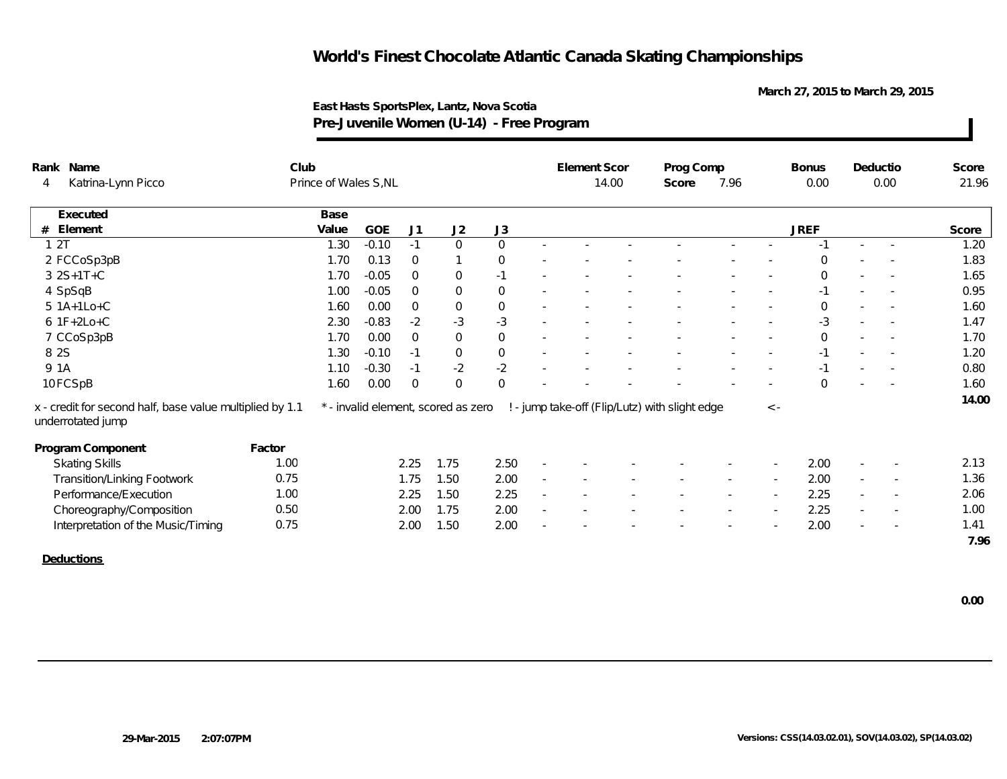**March 27, 2015 to March 29, 2015**

|       | Rank Name                                                                     | Club   |                       |         |             |                                     |                  |        | <b>Element Scor</b> |       | Prog Comp                                      |        |             | <b>Bonus</b> |                          | Deductio                 | Score |
|-------|-------------------------------------------------------------------------------|--------|-----------------------|---------|-------------|-------------------------------------|------------------|--------|---------------------|-------|------------------------------------------------|--------|-------------|--------------|--------------------------|--------------------------|-------|
| 4     | Katrina-Lynn Picco                                                            |        | Prince of Wales S, NL |         |             |                                     |                  |        |                     | 14.00 | Score                                          | 7.96   |             | 0.00         |                          | 0.00                     | 21.96 |
|       | Executed                                                                      |        | Base                  |         |             |                                     |                  |        |                     |       |                                                |        |             |              |                          |                          |       |
| #     | Element                                                                       |        | Value                 | GOE     | J1          | J2                                  | J3               |        |                     |       |                                                |        |             | <b>JREF</b>  |                          |                          | Score |
| 12T   |                                                                               |        | 1.30                  | $-0.10$ | $-1$        | $\mathbf 0$                         | $\mathbf 0$      | $\sim$ |                     |       |                                                |        |             | -1           | $\blacksquare$           |                          | 1.20  |
|       | 2 FCCoSp3pB                                                                   |        | 1.70                  | 0.13    | $\mathbf 0$ |                                     | $\overline{0}$   |        |                     |       |                                                |        |             | $\Omega$     |                          |                          | 1.83  |
|       | 3 2S+1T+C                                                                     |        | 1.70                  | $-0.05$ | $\mathbf 0$ | $\boldsymbol{0}$                    | $-1$             |        |                     |       |                                                |        |             | $\Omega$     |                          |                          | 1.65  |
|       | 4 SpSqB                                                                       |        | 1.00                  | $-0.05$ | $\mathbf 0$ | $\boldsymbol{0}$                    | $\boldsymbol{0}$ |        |                     |       |                                                |        |             | $-1$         |                          |                          | 0.95  |
|       | 5 1A+1Lo+C                                                                    |        | 1.60                  | 0.00    | $\mathbf 0$ | 0                                   | $\mathbf 0$      |        |                     |       |                                                |        |             | $\mathbf 0$  | ٠                        | $\overline{\phantom{a}}$ | 1.60  |
|       | $6$ 1F+2Lo+C                                                                  |        | 2.30                  | $-0.83$ | $-2$        | $-3$                                | $-3$             |        |                     |       |                                                |        |             | $-3$         | ٠                        | $\overline{\phantom{a}}$ | 1.47  |
|       | 7 CCoSp3pB                                                                    |        | 1.70                  | 0.00    | $\Omega$    | $\mathbf 0$                         | $\mathbf 0$      |        |                     |       |                                                |        |             | $\mathbf 0$  |                          | $\overline{\phantom{a}}$ | 1.70  |
| 8 2 S |                                                                               |        | 1.30                  | $-0.10$ | $-1$        | $\mathbf 0$                         | $\mathbf 0$      |        |                     |       |                                                |        |             | $-1$         | ٠                        | $\overline{\phantom{a}}$ | 1.20  |
| 9 1A  |                                                                               |        | 1.10                  | $-0.30$ | $-1$        | $-2$                                | $-2$             |        |                     |       |                                                |        |             | $-1$         |                          |                          | 0.80  |
|       | 10 FCSpB                                                                      |        | 1.60                  | 0.00    | $\mathbf 0$ | $\Omega$                            | $\overline{0}$   |        |                     |       |                                                |        |             | $\Omega$     |                          |                          | 1.60  |
|       | x - credit for second half, base value multiplied by 1.1<br>underrotated jump |        |                       |         |             | * - invalid element, scored as zero |                  |        |                     |       | ! - jump take-off (Flip/Lutz) with slight edge |        | $\langle$ - |              |                          |                          | 14.00 |
|       | Program Component                                                             | Factor |                       |         |             |                                     |                  |        |                     |       |                                                |        |             |              |                          |                          |       |
|       | <b>Skating Skills</b>                                                         | 1.00   |                       |         | 2.25        | 1.75                                | 2.50             |        |                     |       |                                                |        |             | 2.00         |                          |                          | 2.13  |
|       | <b>Transition/Linking Footwork</b>                                            | 0.75   |                       |         | 1.75        | 1.50                                | 2.00             |        |                     |       |                                                |        |             | 2.00         | $\overline{\phantom{a}}$ |                          | 1.36  |
|       | Performance/Execution                                                         | 1.00   |                       |         | 2.25        | 1.50                                | 2.25             |        |                     |       |                                                | $\sim$ | $\sim$      | 2.25         | $\sim$                   | $\overline{\phantom{a}}$ | 2.06  |
|       | Choreography/Composition                                                      | 0.50   |                       |         | 2.00        | 1.75                                | 2.00             |        |                     |       |                                                |        | $\sim$      | 2.25         | ٠                        | $\overline{\phantom{a}}$ | 1.00  |
|       | Interpretation of the Music/Timing                                            | 0.75   |                       |         | 2.00        | 1.50                                | 2.00             |        |                     |       |                                                |        |             | 2.00         |                          |                          | 1.41  |
|       |                                                                               |        |                       |         |             |                                     |                  |        |                     |       |                                                |        |             |              |                          |                          | 7.96  |
|       | Deductions                                                                    |        |                       |         |             |                                     |                  |        |                     |       |                                                |        |             |              |                          |                          |       |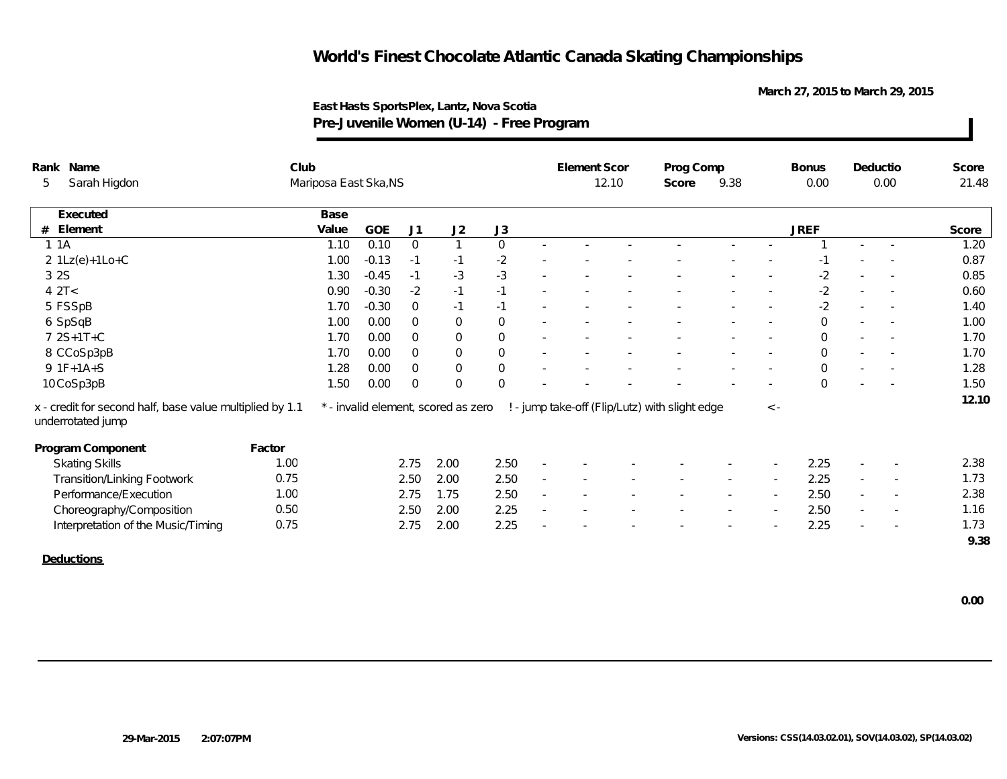**March 27, 2015 to March 29, 2015**

| Rank Name                                                                     | Club   |                       |            |                |                                     |                     |                          | Element Scor |       | Prog Comp                                      |        |          | <b>Bonus</b> | Deductio                 |                          | Score |
|-------------------------------------------------------------------------------|--------|-----------------------|------------|----------------|-------------------------------------|---------------------|--------------------------|--------------|-------|------------------------------------------------|--------|----------|--------------|--------------------------|--------------------------|-------|
| Sarah Higdon<br>5                                                             |        | Mariposa East Ska, NS |            |                |                                     |                     |                          |              | 12.10 | Score                                          | 9.38   |          | 0.00         |                          | 0.00                     | 21.48 |
| Executed                                                                      |        | Base                  |            |                |                                     |                     |                          |              |       |                                                |        |          |              |                          |                          |       |
| Element<br>#                                                                  |        | Value                 | <b>GOE</b> | J1             | J2                                  | J3                  |                          |              |       |                                                |        |          | <b>JREF</b>  |                          |                          | Score |
| 1 1 A                                                                         |        | 1.10                  | 0.10       | $\overline{0}$ |                                     | $\mathsf{O}$        | $\sim$                   |              |       |                                                |        |          |              |                          |                          | 1.20  |
| $2 1Lz(e)+1Lo+C$                                                              |        | 1.00                  | $-0.13$    | $-1$           | $-1$                                | $-2$                |                          |              |       |                                                |        |          | -1           |                          |                          | 0.87  |
| 3 2 S                                                                         |        | 1.30                  | $-0.45$    | $-1$           | $-3$                                | $-3$                | $\sim$                   |              |       |                                                |        |          | $-2$         | $\sim$                   |                          | 0.85  |
| 42T<                                                                          |        | 0.90                  | $-0.30$    | $-2$           | $-1$                                | $-1$                | $\sim$                   |              |       |                                                |        |          | $-2$         | $\sim$                   |                          | 0.60  |
| 5 FSSpB                                                                       |        | 1.70                  | $-0.30$    | $\overline{0}$ | $-1$                                | $-1$                |                          |              |       |                                                |        |          | $-2$         | $\sim$                   |                          | 1.40  |
| 6 SpSqB                                                                       |        | 1.00                  | 0.00       | $\overline{0}$ | $\mathbf 0$                         | $\mathsf{O}$        | $\sim$                   |              |       |                                                |        |          | $\mathbf 0$  |                          |                          | 1.00  |
| 7 2S+1T+C                                                                     |        | 1.70                  | 0.00       | $\overline{0}$ | $\mathbf 0$                         | $\mathsf{O}\xspace$ |                          |              |       |                                                |        |          | $\Omega$     |                          |                          | 1.70  |
| 8 CCoSp3pB                                                                    |        | 1.70                  | 0.00       | $\overline{0}$ | $\mathsf{O}$                        | $\mathsf{O}$        | $\sim$                   |              |       |                                                |        |          | $\mathbf 0$  | $\sim$                   |                          | 1.70  |
| $9 1F+1A+S$                                                                   |        | 1.28                  | 0.00       | $\overline{0}$ | $\mathsf{O}$                        | $\mathsf{O}\xspace$ | ٠                        |              |       |                                                |        |          | $\mathbf 0$  | $\sim$                   |                          | 1.28  |
| 10 CoSp3pB                                                                    |        | 1.50                  | 0.00       | $\overline{0}$ | $\overline{0}$                      | $\mathbf 0$         |                          |              |       |                                                |        |          | $\Omega$     |                          |                          | 1.50  |
| x - credit for second half, base value multiplied by 1.1<br>underrotated jump |        |                       |            |                | * - invalid element, scored as zero |                     |                          |              |       | ! - jump take-off (Flip/Lutz) with slight edge |        | $\leq$ - |              |                          |                          | 12.10 |
| Program Component                                                             | Factor |                       |            |                |                                     |                     |                          |              |       |                                                |        |          |              |                          |                          |       |
| <b>Skating Skills</b>                                                         | 1.00   |                       |            | 2.75           | 2.00                                | 2.50                |                          |              |       |                                                |        |          | 2.25         |                          |                          | 2.38  |
| <b>Transition/Linking Footwork</b>                                            | 0.75   |                       |            | 2.50           | 2.00                                | 2.50                | $\overline{\phantom{a}}$ |              |       |                                                |        |          | 2.25         | $\overline{\phantom{a}}$ |                          | 1.73  |
| Performance/Execution                                                         | 1.00   |                       |            | 2.75           | 1.75                                | 2.50                | $\sim$                   |              |       |                                                | $\sim$ | $\sim$   | 2.50         | $\sim$                   | $\overline{\phantom{a}}$ | 2.38  |
| Choreography/Composition                                                      | 0.50   |                       |            | 2.50           | 2.00                                | 2.25                | $\sim$                   |              |       |                                                |        | $\sim$   | 2.50         | $\sim$                   | $\overline{\phantom{a}}$ | 1.16  |
| Interpretation of the Music/Timing                                            | 0.75   |                       |            | 2.75           | 2.00                                | 2.25                |                          |              |       |                                                |        |          | 2.25         |                          |                          | 1.73  |
|                                                                               |        |                       |            |                |                                     |                     |                          |              |       |                                                |        |          |              |                          |                          | 9.38  |
| Deductions                                                                    |        |                       |            |                |                                     |                     |                          |              |       |                                                |        |          |              |                          |                          |       |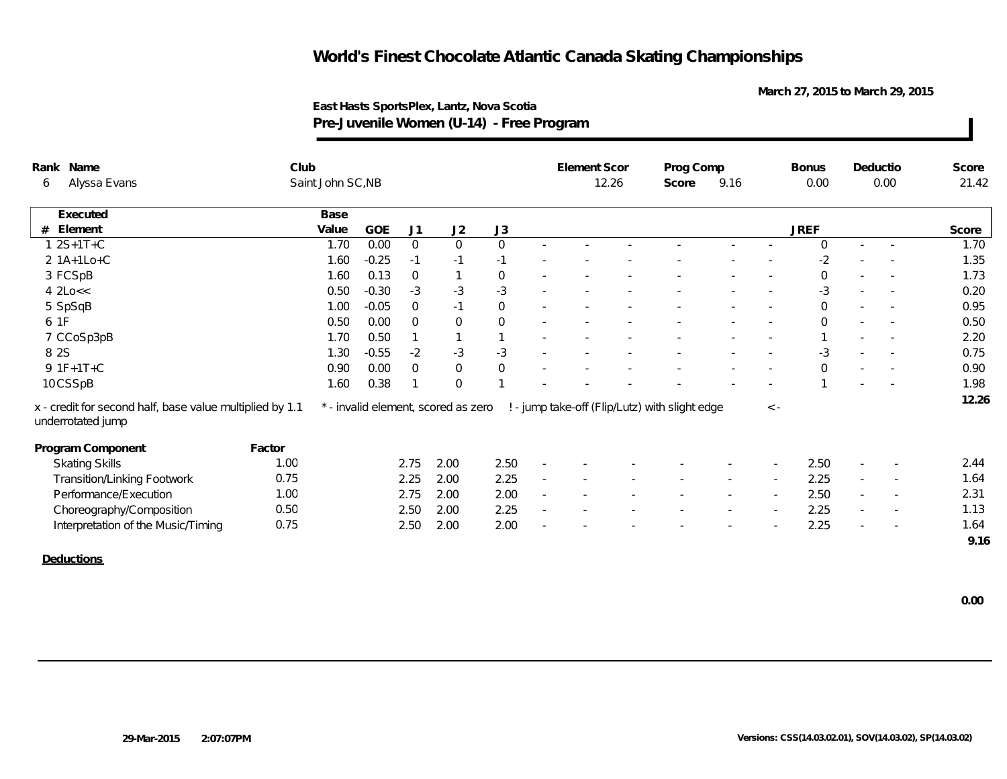**March 27, 2015 to March 29, 2015**

|   | Rank Name<br>Alyssa Evans                                                     | Club   | Saint John SC, NB |         |                |                                     |                |                          | Element Scor | 12.26 | Prog Comp<br>Score                             | 9.16 |             | Bonus<br>0.00 |        | Deductio<br>0.00         | Score<br>21.42 |
|---|-------------------------------------------------------------------------------|--------|-------------------|---------|----------------|-------------------------------------|----------------|--------------------------|--------------|-------|------------------------------------------------|------|-------------|---------------|--------|--------------------------|----------------|
| 6 |                                                                               |        |                   |         |                |                                     |                |                          |              |       |                                                |      |             |               |        |                          |                |
|   | Executed                                                                      |        | Base              |         |                |                                     |                |                          |              |       |                                                |      |             |               |        |                          |                |
| # | Element                                                                       |        | Value             | GOE     | J1             | J2                                  | J3             |                          |              |       |                                                |      |             | <b>JREF</b>   |        |                          | Score          |
|   | $1 2S+1T+C$                                                                   |        | 1.70              | 0.00    | $\overline{0}$ | $\overline{0}$                      | $\overline{0}$ | $\sim$                   |              |       |                                                |      |             | $\mathbf 0$   | $\sim$ |                          | 1.70           |
|   | $2 1A+1Lo+C$                                                                  |        | 1.60              | $-0.25$ | $-1$           | $-1$                                | $-1$           |                          |              |       |                                                |      |             | $-2$          |        |                          | 1.35           |
|   | 3 FCSpB                                                                       |        | 1.60              | 0.13    | $\overline{0}$ |                                     | $\mathsf{O}$   |                          |              |       |                                                |      |             | $\mathbf{O}$  |        |                          | 1.73           |
|   | $4$ $2$ $Lo <<$                                                               |        | 0.50              | $-0.30$ | $-3$           | $-3$                                | $-3$           |                          |              |       |                                                |      |             | -3            |        | $\overline{\phantom{a}}$ | 0.20           |
|   | 5 SpSqB                                                                       |        | 1.00              | $-0.05$ | $\Omega$       | $-1$                                | $\overline{0}$ | $\sim$                   |              |       |                                                |      |             | $\mathbf{O}$  |        |                          | 0.95           |
|   | 6 1F                                                                          |        | 0.50              | 0.00    | $\overline{0}$ | $\overline{0}$                      | $\overline{0}$ |                          |              |       |                                                |      |             | $\mathbf{O}$  |        |                          | 0.50           |
|   | 7 CCoSp3pB                                                                    |        | 1.70              | 0.50    |                |                                     | $\overline{1}$ |                          |              |       |                                                |      |             |               |        |                          | 2.20           |
|   | 8 2 S                                                                         |        | 1.30              | $-0.55$ | $-2$           | $-3$                                | $-3$           | $\overline{\phantom{a}}$ |              |       |                                                |      |             | -3            |        |                          | 0.75           |
|   | $9.1F+1T+C$                                                                   |        | 0.90              | 0.00    | $\overline{0}$ | $\mathsf{O}\xspace$                 | $\mathsf{O}$   |                          |              |       |                                                |      |             | $\Omega$      | $\sim$ |                          | 0.90           |
|   | 10CSSpB                                                                       |        | 1.60              | 0.38    |                | $\overline{0}$                      |                |                          |              |       |                                                |      |             |               |        |                          | 1.98           |
|   | x - credit for second half, base value multiplied by 1.1<br>underrotated jump |        |                   |         |                | * - invalid element, scored as zero |                |                          |              |       | ! - jump take-off (Flip/Lutz) with slight edge |      | $\langle$ - |               |        |                          | 12.26          |
|   | Program Component                                                             | Factor |                   |         |                |                                     |                |                          |              |       |                                                |      |             |               |        |                          |                |
|   | <b>Skating Skills</b>                                                         | 1.00   |                   |         | 2.75           | 2.00                                | 2.50           |                          |              |       |                                                |      |             | 2.50          |        |                          | 2.44           |
|   | Transition/Linking Footwork                                                   | 0.75   |                   |         | 2.25           | 2.00                                | 2.25           | $\overline{\phantom{a}}$ |              |       |                                                |      |             | 2.25          | $\sim$ |                          | 1.64           |
|   | Performance/Execution                                                         | 1.00   |                   |         | 2.75           | 2.00                                | 2.00           | $\sim$                   | $\sim$       |       |                                                |      |             | 2.50          | $\sim$ | $\overline{\phantom{a}}$ | 2.31           |
|   | Choreography/Composition                                                      | 0.50   |                   |         | 2.50           | 2.00                                | 2.25           | $\sim$                   |              |       |                                                |      |             | 2.25          | $\sim$ | $\overline{\phantom{a}}$ | 1.13           |
|   | Interpretation of the Music/Timing                                            | 0.75   |                   |         | 2.50           | 2.00                                | 2.00           |                          |              |       |                                                |      |             | 2.25          |        | $\overline{\phantom{a}}$ | 1.64           |
|   |                                                                               |        |                   |         |                |                                     |                |                          |              |       |                                                |      |             |               |        |                          | 9.16           |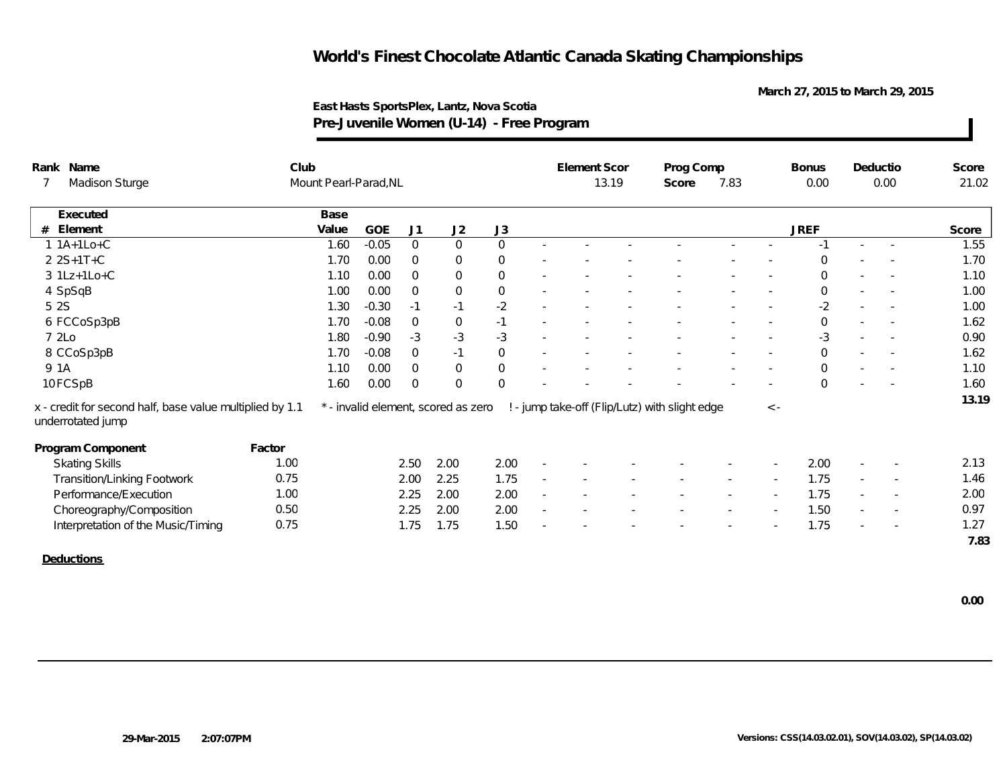**March 27, 2015 to March 29, 2015**

| Rank Name     |                                                                               |        | Club                  |         |                |                                     |                     |                          | <b>Element Scor</b> |       | Prog Comp                                      |        |          | <b>Bonus</b>   | Deductio                 |                          | Score |
|---------------|-------------------------------------------------------------------------------|--------|-----------------------|---------|----------------|-------------------------------------|---------------------|--------------------------|---------------------|-------|------------------------------------------------|--------|----------|----------------|--------------------------|--------------------------|-------|
|               | Madison Sturge                                                                |        | Mount Pearl-Parad, NL |         |                |                                     |                     |                          |                     | 13.19 | Score                                          | 7.83   |          | 0.00           |                          | 0.00                     | 21.02 |
|               | Executed                                                                      |        | Base                  |         |                |                                     |                     |                          |                     |       |                                                |        |          |                |                          |                          |       |
| Element<br>#  |                                                                               |        | Value                 | GOE     | J <sub>1</sub> | J2                                  | J3                  |                          |                     |       |                                                |        |          | <b>JREF</b>    |                          |                          | Score |
| $1 1A+1Lo+C$  |                                                                               |        | 1.60                  | $-0.05$ | $\overline{0}$ | $\mathbf 0$                         | $\overline{0}$      | $\sim$                   |                     |       |                                                |        |          | $-1$           | ×.                       |                          | 1.55  |
| $225+1T+C$    |                                                                               |        | 1.70                  | 0.00    | $\overline{0}$ | $\overline{0}$                      | $\mathbf 0$         |                          |                     |       |                                                |        |          | $\Omega$       |                          | $\overline{\phantom{a}}$ | 1.70  |
| $3 1Lz+1Lo+C$ |                                                                               |        | 1.10                  | 0.00    | $\Omega$       | $\mathbf 0$                         | $\mathsf{O}\xspace$ |                          |                     |       |                                                |        |          | $\Omega$       |                          |                          | 1.10  |
| 4 SpSqB       |                                                                               |        | 1.00                  | 0.00    | $\overline{0}$ | $\mathbf 0$                         | $\boldsymbol{0}$    |                          |                     |       |                                                |        |          | $\mathbf 0$    |                          |                          | 1.00  |
| 5 2 S         |                                                                               |        | 1.30                  | $-0.30$ | $-1$           | $-1$                                | $-2$                | $\sim$                   |                     |       |                                                |        |          | $-2$           | $\sim$                   | $\overline{\phantom{a}}$ | 1.00  |
|               | 6 FCCoSp3pB                                                                   |        | 1.70                  | $-0.08$ | $\overline{0}$ | $\boldsymbol{0}$                    | $-1$                | $\overline{\phantom{a}}$ |                     |       |                                                |        |          | $\mathbf 0$    | $\overline{\phantom{a}}$ |                          | 1.62  |
| 7 2Lo         |                                                                               |        | 1.80                  | $-0.90$ | $-3$           | $-3$                                | $-3$                |                          |                     |       |                                                |        |          | -3             |                          | $\sim$                   | 0.90  |
| 8 CCoSp3pB    |                                                                               |        | 1.70                  | $-0.08$ | $\overline{0}$ | $-1$                                | $\boldsymbol{0}$    |                          |                     |       |                                                |        |          | $\overline{0}$ |                          |                          | 1.62  |
| 9 1A          |                                                                               |        | 1.10                  | 0.00    | $\overline{0}$ | $\mathbf 0$                         | $\mathbf 0$         |                          |                     |       |                                                |        |          | $\overline{O}$ |                          |                          | 1.10  |
| 10FCSpB       |                                                                               |        | 1.60                  | 0.00    | $\overline{0}$ | $\Omega$                            | $\mathbf 0$         |                          |                     |       |                                                |        |          | $\Omega$       |                          |                          | 1.60  |
|               | x - credit for second half, base value multiplied by 1.1<br>underrotated jump |        |                       |         |                | * - invalid element, scored as zero |                     |                          |                     |       | ! - jump take-off (Flip/Lutz) with slight edge |        | $\leq$ - |                |                          |                          | 13.19 |
|               | Program Component                                                             | Factor |                       |         |                |                                     |                     |                          |                     |       |                                                |        |          |                |                          |                          |       |
|               | <b>Skating Skills</b>                                                         | 1.00   |                       |         | 2.50           | 2.00                                | 2.00                | $\sim$                   |                     |       |                                                |        |          | 2.00           |                          |                          | 2.13  |
|               | Transition/Linking Footwork                                                   | 0.75   |                       |         | 2.00           | 2.25                                | 1.75                | $\sim$                   |                     |       |                                                |        |          | 1.75           | $\overline{\phantom{a}}$ |                          | 1.46  |
|               | Performance/Execution                                                         | 1.00   |                       |         | 2.25           | 2.00                                | 2.00                | $\sim$                   |                     |       |                                                | $\sim$ |          | 1.75           | $\sim$                   | $\overline{\phantom{a}}$ | 2.00  |
|               | Choreography/Composition                                                      | 0.50   |                       |         | 2.25           | 2.00                                | 2.00                | $\sim$                   |                     |       |                                                |        |          | 1.50           | $\sim$                   |                          | 0.97  |
|               | Interpretation of the Music/Timing                                            | 0.75   |                       |         | 1.75           | 1.75                                | 1.50                |                          |                     |       |                                                |        |          | 1.75           |                          |                          | 1.27  |
|               |                                                                               |        |                       |         |                |                                     |                     |                          |                     |       |                                                |        |          |                |                          |                          | 7.83  |
| Deductions    |                                                                               |        |                       |         |                |                                     |                     |                          |                     |       |                                                |        |          |                |                          |                          |       |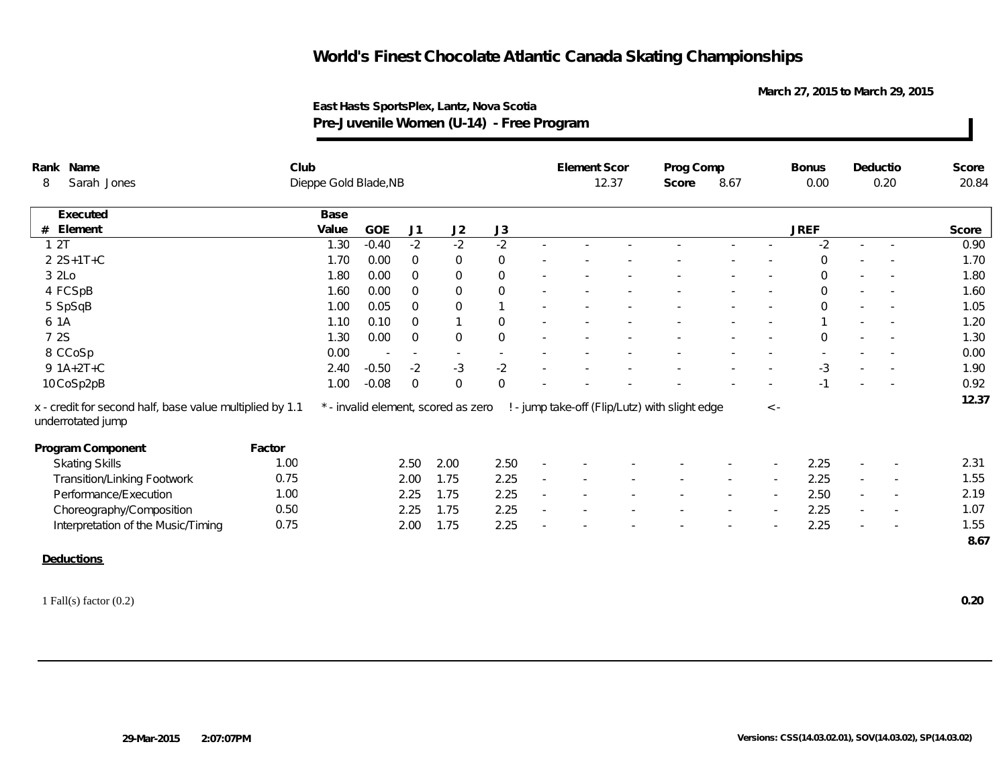**March 27, 2015 to March 29, 2015**

| Rank Name                                                                     | Club   |                       |            |                |                                     |                     | Element Scor |       | Prog Comp                                      |      |             | <b>Bonus</b>   | Deductio                 |                          | Score |
|-------------------------------------------------------------------------------|--------|-----------------------|------------|----------------|-------------------------------------|---------------------|--------------|-------|------------------------------------------------|------|-------------|----------------|--------------------------|--------------------------|-------|
| Sarah Jones<br>8                                                              |        | Dieppe Gold Blade, NB |            |                |                                     |                     |              | 12.37 | Score                                          | 8.67 |             | 0.00           |                          | 0.20                     | 20.84 |
| Executed                                                                      |        | Base                  |            |                |                                     |                     |              |       |                                                |      |             |                |                          |                          |       |
| Element<br>#                                                                  |        | Value                 | <b>GOE</b> | J1             | J2                                  | J3                  |              |       |                                                |      |             | <b>JREF</b>    |                          |                          | Score |
| 12T                                                                           |        | 1.30                  | $-0.40$    | $-2$           | $-2$                                | $-2$                |              |       |                                                |      |             | $-2$           | $\sim$                   |                          | 0.90  |
| 2 2 S+1 T + C                                                                 |        | 1.70                  | 0.00       | $\mathsf{O}$   | $\,0\,$                             | $\,0\,$             |              |       |                                                |      |             | $\mathbf 0$    |                          |                          | 1.70  |
| 3 2Lo                                                                         |        | 1.80                  | 0.00       | $\overline{0}$ | $\overline{0}$                      | $\mathbf 0$         |              |       |                                                |      |             | $\overline{0}$ |                          | $\sim$                   | 1.80  |
| 4 FCSpB                                                                       |        | 1.60                  | 0.00       | $\overline{0}$ | $\mathbf 0$                         | $\mathbf 0$         |              |       |                                                |      |             | $\Omega$       | $\overline{\phantom{a}}$ |                          | 1.60  |
| 5 SpSqB                                                                       |        | 1.00                  | 0.05       | $\Omega$       | $\mathsf{O}\xspace$                 | $\mathbf{1}$        |              |       |                                                |      |             | $\Omega$       |                          |                          | 1.05  |
| 6 1A                                                                          |        | 1.10                  | 0.10       | $\overline{0}$ | $\mathbf{1}$                        | $\mathbf 0$         |              |       |                                                |      |             |                |                          |                          | 1.20  |
| 7 2S                                                                          |        | 1.30                  | 0.00       | $\mathbf 0$    | $\mathbf 0$                         | $\mathsf{O}\xspace$ |              |       |                                                |      |             | $\overline{0}$ |                          |                          | 1.30  |
| 8 CCoSp                                                                       |        | 0.00                  |            | $\sim$         | $\sim$                              | $\sim$              |              |       |                                                |      |             |                |                          |                          | 0.00  |
| $9 1A+2T+C$                                                                   |        | 2.40                  | $-0.50$    | $-2$           | $-3$                                | $-2$                |              |       |                                                |      |             | $-3$           |                          |                          | 1.90  |
| 10 CoSp2pB                                                                    |        | 1.00                  | $-0.08$    | $\mathbf 0$    | $\mathbf 0$                         | $\mathbf 0$         |              |       |                                                |      |             | $-1$           |                          |                          | 0.92  |
| x - credit for second half, base value multiplied by 1.1<br>underrotated jump |        |                       |            |                | * - invalid element, scored as zero |                     |              |       | ! - jump take-off (Flip/Lutz) with slight edge |      | $\langle$ - |                |                          |                          | 12.37 |
| Program Component                                                             | Factor |                       |            |                |                                     |                     |              |       |                                                |      |             |                |                          |                          |       |
| <b>Skating Skills</b>                                                         | 1.00   |                       |            | 2.50           | 2.00                                | 2.50                |              |       |                                                |      |             | 2.25           | $\overline{\phantom{a}}$ |                          | 2.31  |
| <b>Transition/Linking Footwork</b>                                            | 0.75   |                       |            | 2.00           | 1.75                                | 2.25                |              |       |                                                |      |             | 2.25           | $\overline{\phantom{a}}$ | $\sim$                   | 1.55  |
| Performance/Execution                                                         | 1.00   |                       |            | 2.25           | 1.75                                | 2.25                |              |       |                                                |      |             | 2.50           | $\sim$                   |                          | 2.19  |
| Choreography/Composition                                                      | 0.50   |                       |            | 2.25           | 1.75                                | 2.25                |              |       |                                                |      |             | 2.25           |                          | $\overline{\phantom{a}}$ | 1.07  |
| Interpretation of the Music/Timing                                            | 0.75   |                       |            | 2.00           | 1.75                                | 2.25                |              |       |                                                |      |             | 2.25           |                          |                          | 1.55  |
|                                                                               |        |                       |            |                |                                     |                     |              |       |                                                |      |             |                |                          |                          | 8.67  |
| <b>Deductions</b>                                                             |        |                       |            |                |                                     |                     |              |       |                                                |      |             |                |                          |                          |       |
|                                                                               |        |                       |            |                |                                     |                     |              |       |                                                |      |             |                |                          |                          | 0.20  |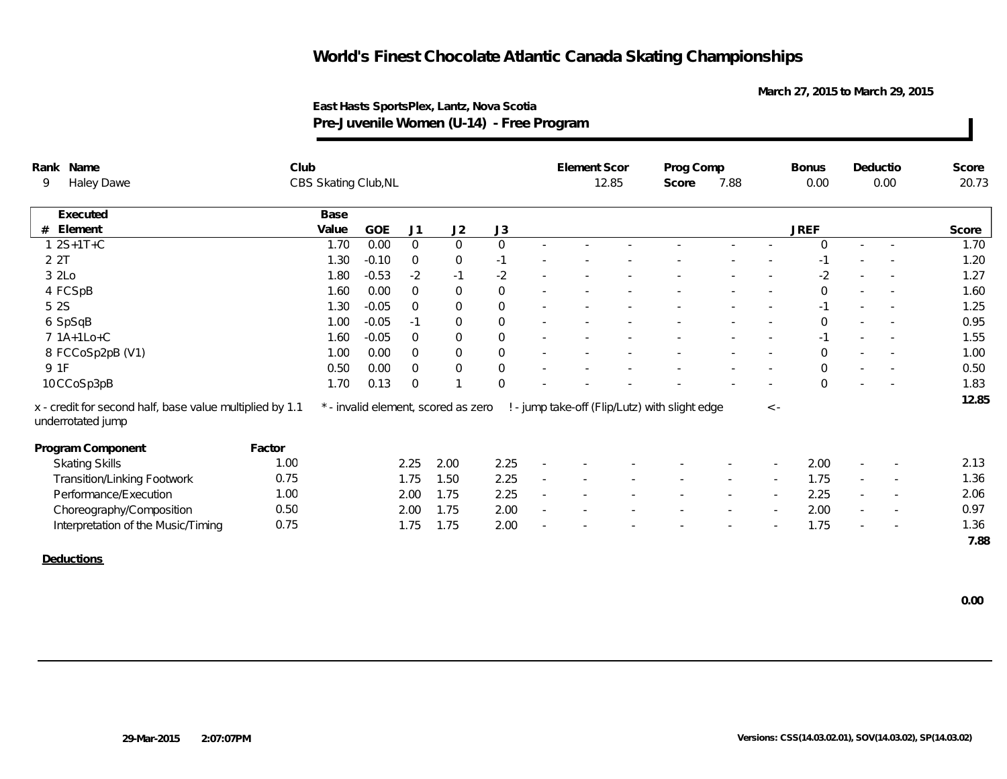**March 27, 2015 to March 29, 2015**

| Rank Name                                                                     | Club   |                      |         |                |                                     |                     |                          | Element Scor |       | Prog Comp                                      |        |             | <b>Bonus</b> |        | Deductio                 | Score |
|-------------------------------------------------------------------------------|--------|----------------------|---------|----------------|-------------------------------------|---------------------|--------------------------|--------------|-------|------------------------------------------------|--------|-------------|--------------|--------|--------------------------|-------|
| 9<br>Haley Dawe                                                               |        | CBS Skating Club, NL |         |                |                                     |                     |                          |              | 12.85 | Score                                          | 7.88   |             | 0.00         |        | 0.00                     | 20.73 |
| Executed                                                                      |        | Base                 |         |                |                                     |                     |                          |              |       |                                                |        |             |              |        |                          |       |
| Element<br>#                                                                  |        | Value                | GOE     | J <sub>1</sub> | J2                                  | J3                  |                          |              |       |                                                |        |             | <b>JREF</b>  |        |                          | Score |
| $1 2S+1T+C$                                                                   |        | 1.70                 | 0.00    | $\overline{0}$ | $\overline{0}$                      | $\overline{0}$      | $\sim$                   |              |       |                                                |        |             | $\Omega$     | $\sim$ |                          | 1.70  |
| 2 2T                                                                          |        | 1.30                 | $-0.10$ | $\mathbf 0$    | $\mathbf 0$                         | $-1$                |                          |              |       |                                                |        |             | $-1$         |        |                          | 1.20  |
| 3 2Lo                                                                         |        | 1.80                 | $-0.53$ | $-2$           | $-1$                                | $-2$                |                          |              |       |                                                |        |             | $-2$         |        |                          | 1.27  |
| 4 FCSpB                                                                       |        | 1.60                 | 0.00    | $\mathbf{0}$   | $\mathbf 0$                         | $\mathbf 0$         |                          |              |       |                                                |        |             | $\mathbf{O}$ |        |                          | 1.60  |
| 5 2 S                                                                         |        | 1.30                 | $-0.05$ | $\overline{0}$ | $\mathbf 0$                         | $\mathbf 0$         | $\overline{\phantom{a}}$ |              |       |                                                |        |             | $-1$         | $\sim$ |                          | 1.25  |
| 6 SpSqB                                                                       |        | 1.00                 | $-0.05$ | $-1$           | $\mathbf 0$                         | $\mathbf 0$         | $\sim$                   |              |       |                                                |        |             | $\mathbf{O}$ |        |                          | 0.95  |
| 7 1A+1Lo+C                                                                    |        | 1.60                 | $-0.05$ | $\overline{0}$ | $\overline{0}$                      | $\mathbf 0$         | $\overline{\phantom{a}}$ |              |       |                                                |        |             | $-1$         |        |                          | 1.55  |
| 8 FCCoSp2pB (V1)                                                              |        | 1.00                 | 0.00    | $\overline{0}$ | $\mathbf 0$                         | $\mathbf 0$         |                          |              |       |                                                |        |             | $\Omega$     |        |                          | 1.00  |
| 9 1F                                                                          |        | 0.50                 | 0.00    | $\overline{0}$ | $\boldsymbol{0}$                    | $\mathsf{O}\xspace$ |                          |              |       |                                                |        |             | $\Omega$     |        |                          | 0.50  |
| 10 CCoSp3pB                                                                   |        | 1.70                 | 0.13    | $\mathbf 0$    |                                     | $\mathbf 0$         |                          |              |       |                                                |        |             | $\Omega$     |        | $\sim$                   | 1.83  |
| x - credit for second half, base value multiplied by 1.1<br>underrotated jump |        |                      |         |                | * - invalid element, scored as zero |                     |                          |              |       | ! - jump take-off (Flip/Lutz) with slight edge |        | $\langle$ - |              |        |                          | 12.85 |
| Program Component                                                             | Factor |                      |         |                |                                     |                     |                          |              |       |                                                |        |             |              |        |                          |       |
| <b>Skating Skills</b>                                                         | 1.00   |                      |         | 2.25           | 2.00                                | 2.25                |                          |              |       |                                                |        |             | 2.00         |        |                          | 2.13  |
| <b>Transition/Linking Footwork</b>                                            | 0.75   |                      |         | 1.75           | 1.50                                | 2.25                |                          |              |       |                                                |        |             | 1.75         | $\sim$ | $\sim$                   | 1.36  |
| Performance/Execution                                                         | 1.00   |                      |         | 2.00           | 1.75                                | 2.25                | ÷.                       |              |       |                                                | $\sim$ |             | 2.25         | $\sim$ | $\sim$                   | 2.06  |
| Choreography/Composition                                                      | 0.50   |                      |         | 2.00           | 1.75                                | 2.00                | $\sim$                   |              |       |                                                |        |             | 2.00         | $\sim$ | $\overline{\phantom{a}}$ | 0.97  |
| Interpretation of the Music/Timing                                            | 0.75   |                      |         | 1.75           | 1.75                                | 2.00                |                          |              |       |                                                |        |             | 1.75         |        |                          | 1.36  |
|                                                                               |        |                      |         |                |                                     |                     |                          |              |       |                                                |        |             |              |        |                          | 7.88  |
| Deductions                                                                    |        |                      |         |                |                                     |                     |                          |              |       |                                                |        |             |              |        |                          |       |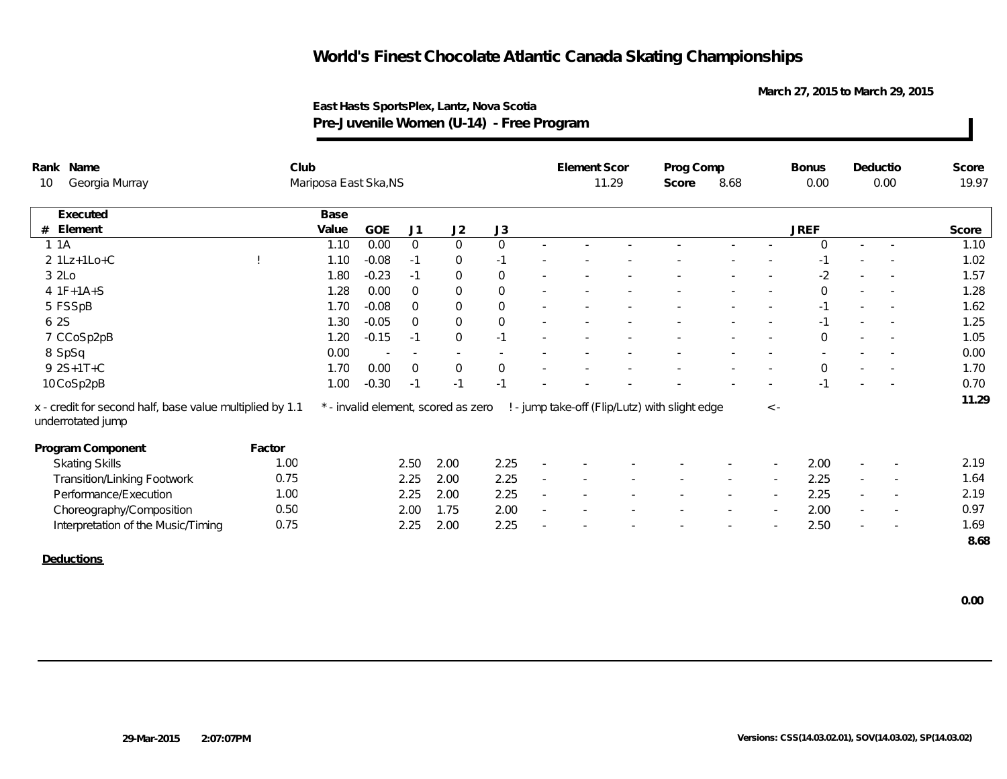**March 27, 2015 to March 29, 2015**

| Rank Name                                                                     | Club   |                       |                          |                |                                     |              | Element Scor |       | Prog Comp                                      |        |             | <b>Bonus</b>   |                          | Deductio                 | Score |
|-------------------------------------------------------------------------------|--------|-----------------------|--------------------------|----------------|-------------------------------------|--------------|--------------|-------|------------------------------------------------|--------|-------------|----------------|--------------------------|--------------------------|-------|
| Georgia Murray<br>10                                                          |        | Mariposa East Ska, NS |                          |                |                                     |              |              | 11.29 | Score                                          | 8.68   |             | 0.00           |                          | 0.00                     | 19.97 |
| Executed                                                                      |        | Base                  |                          |                |                                     |              |              |       |                                                |        |             |                |                          |                          |       |
| Element<br>#                                                                  |        | Value                 | GOE                      | J1             | J2                                  | J3           |              |       |                                                |        |             | <b>JREF</b>    |                          |                          | Score |
| 1.1A                                                                          |        | 1.10                  | 0.00                     | $\overline{0}$ | $\mathbf 0$                         | $\mathsf{O}$ |              |       |                                                |        |             | $\Omega$       | $\sim$                   |                          | 1.10  |
| $2 1Lz+1Lo+C$                                                                 |        | 1.10                  | $-0.08$                  | $-1$           | $\overline{0}$                      | $-1$         |              |       |                                                |        |             | $-1$           |                          |                          | 1.02  |
| 3 2Lo                                                                         |        | 1.80                  | $-0.23$                  | $-1$           | $\mathbf 0$                         | $\mathbf 0$  |              |       |                                                |        |             | $-2$           |                          |                          | 1.57  |
| $4 1F+1A+S$                                                                   |        | 1.28                  | 0.00                     | $\overline{0}$ | $\mathbf 0$                         | $\mathbf 0$  |              |       |                                                |        |             | $\Omega$       |                          |                          | 1.28  |
| 5 FSSpB                                                                       |        | 1.70                  | $-0.08$                  | $\overline{0}$ | $\mathbf 0$                         | $\mathbf 0$  |              |       |                                                |        |             | $-1$           | $\sim$                   |                          | 1.62  |
| 6 2S                                                                          |        | 1.30                  | $-0.05$                  | $\Omega$       | $\mathsf{O}\xspace$                 | $\mathsf{O}$ |              |       |                                                |        |             | $-1$           |                          | $\sim$                   | 1.25  |
| 7 CCoSp2pB                                                                    |        | 1.20                  | $-0.15$                  | $-1$           | $\mathbf 0$                         | $-1$         |              |       |                                                |        |             | $\mathbf 0$    |                          |                          | 1.05  |
| 8 SpSq                                                                        |        | 0.00                  | $\overline{\phantom{a}}$ | $\sim$         | $\sim$                              | $\sim$       |              |       |                                                |        |             |                |                          |                          | 0.00  |
| 9 2S+1T+C                                                                     |        | 1.70                  | 0.00                     | $\overline{0}$ | $\mathbf 0$                         | $\mathbf 0$  |              |       |                                                |        |             | $\overline{0}$ |                          |                          | 1.70  |
| 10 CoSp2pB                                                                    |        | 1.00                  | $-0.30$                  | $-1$           | $-1$                                | $-1$         |              |       |                                                |        |             | $-1$           |                          |                          | 0.70  |
| x - credit for second half, base value multiplied by 1.1<br>underrotated jump |        |                       |                          |                | * - invalid element, scored as zero |              |              |       | ! - jump take-off (Flip/Lutz) with slight edge |        | $\langle$ - |                |                          |                          | 11.29 |
| Program Component                                                             | Factor |                       |                          |                |                                     |              |              |       |                                                |        |             |                |                          |                          |       |
| <b>Skating Skills</b>                                                         | 1.00   |                       |                          | 2.50           | 2.00                                | 2.25         |              |       |                                                |        |             | 2.00           |                          |                          | 2.19  |
| <b>Transition/Linking Footwork</b>                                            | 0.75   |                       |                          | 2.25           | 2.00                                | 2.25         |              |       |                                                |        |             | 2.25           | $\overline{\phantom{a}}$ |                          | 1.64  |
| Performance/Execution                                                         | 1.00   |                       |                          | 2.25           | 2.00                                | 2.25         |              |       |                                                | $\sim$ | $\sim$      | 2.25           | $\sim$                   | $\overline{\phantom{a}}$ | 2.19  |
| Choreography/Composition                                                      | 0.50   |                       |                          | 2.00           | 1.75                                | 2.00         |              |       |                                                |        | $\sim$      | 2.00           | $\sim$                   |                          | 0.97  |
| Interpretation of the Music/Timing                                            | 0.75   |                       |                          | 2.25           | 2.00                                | 2.25         |              |       |                                                |        |             | 2.50           |                          |                          | 1.69  |
|                                                                               |        |                       |                          |                |                                     |              |              |       |                                                |        |             |                |                          |                          | 8.68  |
| Deductions                                                                    |        |                       |                          |                |                                     |              |              |       |                                                |        |             |                |                          |                          |       |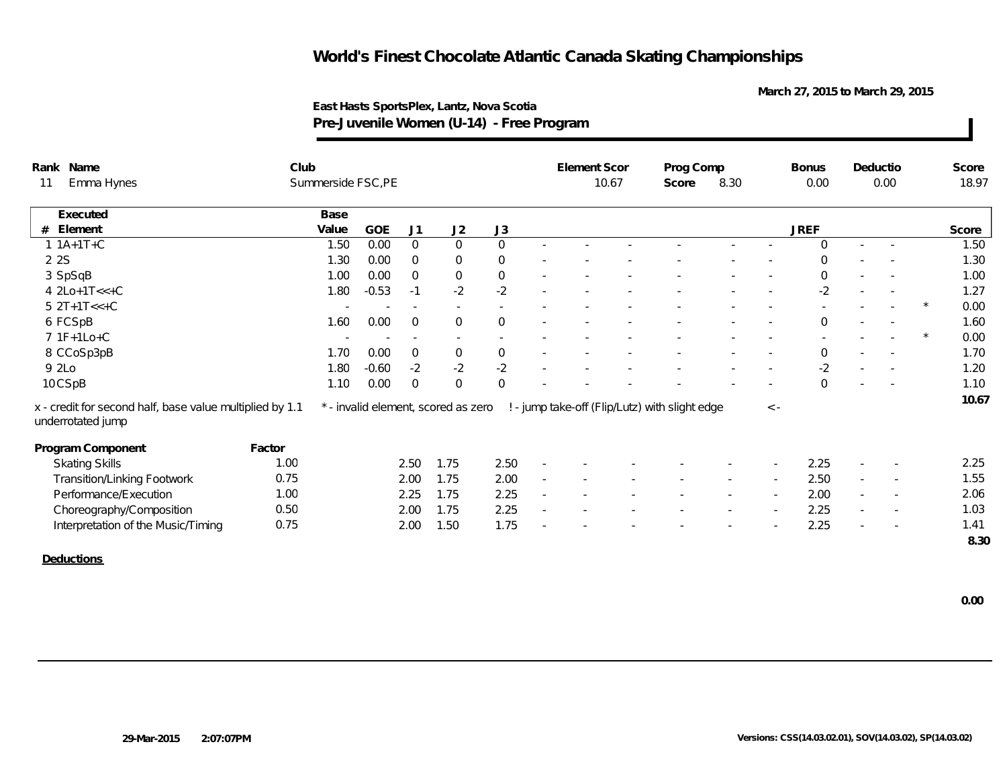**March 27, 2015 to March 29, 2015**

| Rank Name                                                                     | Club   |                   |         |                          |                                     |                     |                          | Element Scor |       | Prog Comp                                      |      |          | <b>Bonus</b>   |        | Deductio                 | Score |
|-------------------------------------------------------------------------------|--------|-------------------|---------|--------------------------|-------------------------------------|---------------------|--------------------------|--------------|-------|------------------------------------------------|------|----------|----------------|--------|--------------------------|-------|
| Emma Hynes<br>11                                                              |        | Summerside FSC,PE |         |                          |                                     |                     |                          |              | 10.67 | Score                                          | 8.30 |          | 0.00           |        | 0.00                     | 18.97 |
| Executed                                                                      |        | Base              |         |                          |                                     |                     |                          |              |       |                                                |      |          |                |        |                          |       |
| Element<br>#                                                                  |        | Value             | GOE     | J1                       | J2                                  | J3                  |                          |              |       |                                                |      |          | <b>JREF</b>    |        |                          | Score |
| $1.1A+1T+C$                                                                   |        | 1.50              | 0.00    | $\overline{0}$           | $\overline{0}$                      | $\mathbf 0$         | $\sim$                   |              |       |                                                |      |          | $\mathbf 0$    | $\sim$ |                          | 1.50  |
| 2 2 S                                                                         |        | 1.30              | 0.00    | $\overline{0}$           | $\overline{0}$                      | $\overline{0}$      |                          |              |       |                                                |      |          | $\Omega$       |        |                          | 1.30  |
| 3 SpSqB                                                                       |        | 1.00              | 0.00    | $\overline{0}$           | $\mathsf{O}$                        | $\mathsf{O}\xspace$ |                          |              |       |                                                |      |          | $\Omega$       |        |                          | 1.00  |
| $4 2Lo+1T<<+C$                                                                |        | 1.80              | $-0.53$ | $-1$                     | $-2$                                | $-2$                |                          |              |       |                                                |      |          | $-2$           |        |                          | 1.27  |
| $5 2T+1T<<+C$                                                                 |        |                   |         | $\sim$                   | $\sim$                              | $\sim$              |                          |              |       |                                                |      |          |                | $\sim$ |                          | 0.00  |
| 6 FCSpB                                                                       |        | 1.60              | 0.00    | $\overline{0}$           | $\mathbf{0}$                        | $\mathbf 0$         |                          |              |       |                                                |      |          | $\mathbf 0$    | $\sim$ |                          | 1.60  |
| $7.1F+1Lo+C$                                                                  |        |                   |         | $\overline{\phantom{a}}$ | $\sim$                              |                     |                          |              |       |                                                |      |          |                |        |                          | 0.00  |
| 8 CCoSp3pB                                                                    |        | 1.70              | 0.00    | $\overline{0}$           | $\mathbf 0$                         | $\mathsf{O}$        |                          |              |       |                                                |      |          | $\overline{0}$ |        |                          | 1.70  |
| 9 2Lo                                                                         |        | 1.80              | $-0.60$ | $-2$                     | $-2$                                | $-2$                |                          |              |       |                                                |      |          | $-2$           |        |                          | 1.20  |
| 10CSpB                                                                        |        | 1.10              | 0.00    | $\overline{0}$           | $\overline{0}$                      | $\mathbf 0$         |                          |              |       |                                                |      |          | $\Omega$       |        |                          | 1.10  |
| x - credit for second half, base value multiplied by 1.1<br>underrotated jump |        |                   |         |                          | * - invalid element, scored as zero |                     |                          |              |       | ! - jump take-off (Flip/Lutz) with slight edge |      | $\leq$ - |                |        |                          | 10.67 |
| Program Component                                                             | Factor |                   |         |                          |                                     |                     |                          |              |       |                                                |      |          |                |        |                          |       |
| <b>Skating Skills</b>                                                         | 1.00   |                   |         | 2.50                     | 1.75                                | 2.50                |                          |              |       |                                                |      |          | 2.25           |        |                          | 2.25  |
| Transition/Linking Footwork                                                   | 0.75   |                   |         | 2.00                     | 1.75                                | 2.00                | $\overline{\phantom{a}}$ |              |       |                                                |      |          | 2.50           |        |                          | 1.55  |
| Performance/Execution                                                         | 1.00   |                   |         | 2.25                     | 1.75                                | 2.25                | $\sim$                   |              |       |                                                |      | $\sim$   | 2.00           | $\sim$ | $\overline{\phantom{a}}$ | 2.06  |
| Choreography/Composition                                                      | 0.50   |                   |         | 2.00                     | 1.75                                | 2.25                |                          |              |       |                                                |      |          | 2.25           | $\sim$ | $\overline{\phantom{a}}$ | 1.03  |
| Interpretation of the Music/Timing                                            | 0.75   |                   |         | 2.00                     | 1.50                                | 1.75                |                          |              |       |                                                |      |          | 2.25           |        |                          | 1.41  |
|                                                                               |        |                   |         |                          |                                     |                     |                          |              |       |                                                |      |          |                |        |                          | 8.30  |
| <b>Deductions</b>                                                             |        |                   |         |                          |                                     |                     |                          |              |       |                                                |      |          |                |        |                          |       |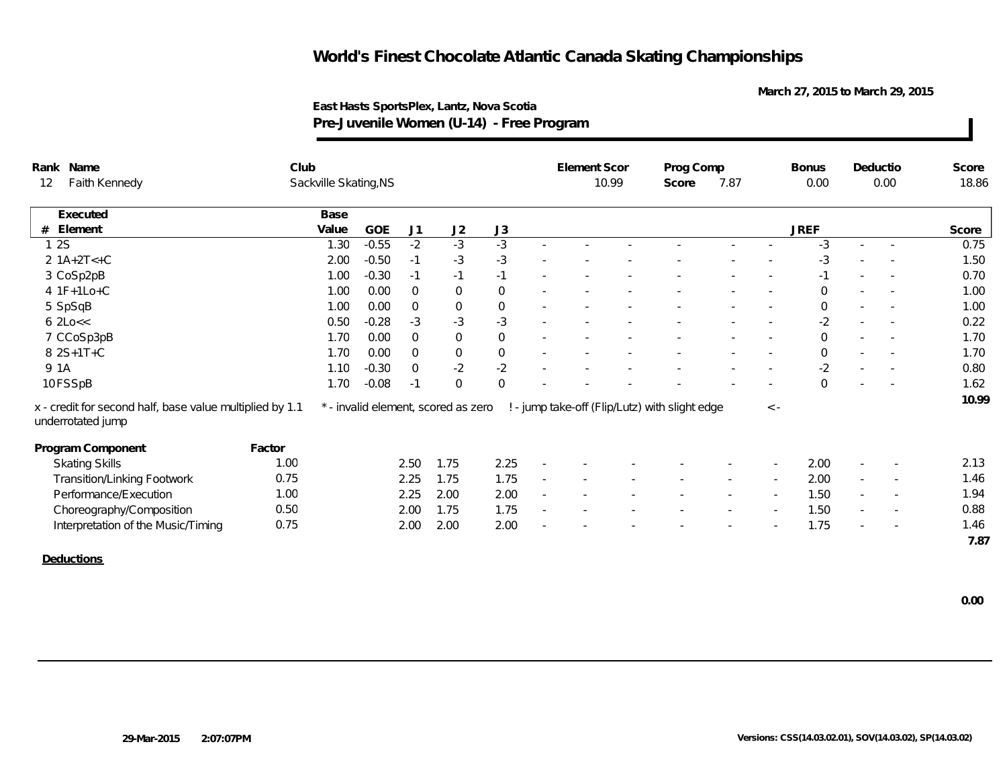**March 27, 2015 to March 29, 2015**

**East Hasts SportsPlex, Lantz, Nova Scotia Pre-Juvenile Women (U-14) - Free Program**

|    | Rank Name                                                                     | Club   |                       |         |                |                                     |             | Element Scor |       | Prog Comp                                      |        |           | <b>Bonus</b> |                          | Deductio                 | Score |
|----|-------------------------------------------------------------------------------|--------|-----------------------|---------|----------------|-------------------------------------|-------------|--------------|-------|------------------------------------------------|--------|-----------|--------------|--------------------------|--------------------------|-------|
| 12 | Faith Kennedy                                                                 |        | Sackville Skating, NS |         |                |                                     |             |              | 10.99 | Score                                          | 7.87   |           | 0.00         |                          | 0.00                     | 18.86 |
|    | Executed                                                                      |        | Base                  |         |                |                                     |             |              |       |                                                |        |           |              |                          |                          |       |
| #  | Element                                                                       |        | Value                 | GOE     | J1             | J2                                  | J3          |              |       |                                                |        |           | <b>JREF</b>  |                          |                          | Score |
|    | 12S                                                                           |        | 1.30                  | $-0.55$ | $-2$           | $-3$                                | $-3$        |              |       |                                                |        |           | -3           |                          |                          | 0.75  |
|    | $2 1A+2T<+C$                                                                  |        | 2.00                  | $-0.50$ | $-1$           | $-3$                                | $-3$        |              |       |                                                |        |           | $-3$         |                          |                          | 1.50  |
|    | 3 CoSp2pB                                                                     |        | 1.00                  | $-0.30$ | $-1$           | $-1$                                | $-1$        |              |       |                                                |        |           | $-1$         |                          |                          | 0.70  |
|    | $4 1F+1Lo+C$                                                                  |        | 1.00                  | 0.00    | $\overline{0}$ | $\mathbf 0$                         | $\mathbf 0$ |              |       |                                                |        |           | $\mathbf 0$  |                          |                          | 1.00  |
|    | 5 SpSqB                                                                       |        | 1.00                  | 0.00    | $\overline{0}$ | $\boldsymbol{0}$                    | $\,0\,$     |              |       |                                                |        |           | $\mathbf 0$  | $\sim$                   |                          | 1.00  |
|    | $6$ 2Lo $<<$                                                                  |        | 0.50                  | $-0.28$ | $-3$           | $-3$                                | $-3$        |              |       |                                                |        |           | $-2$         |                          |                          | 0.22  |
|    | 7 CCoSp3pB                                                                    |        | 1.70                  | 0.00    | $\overline{0}$ | $\mathbf 0$                         | $\mathbf 0$ |              |       |                                                |        |           | $\mathbf 0$  |                          |                          | 1.70  |
|    | 8 2S+1T+C                                                                     |        | 1.70                  | 0.00    | $\overline{0}$ | $\,0\,$                             | $\,0\,$     |              |       |                                                |        |           | $\mathbf 0$  | $\sim$                   |                          | 1.70  |
|    | 9 1 A                                                                         |        | 1.10                  | $-0.30$ | $\overline{0}$ | $-2$                                | $-2$        |              |       |                                                |        |           | $-2$         | $\overline{\phantom{a}}$ |                          | 0.80  |
|    | 10 FSSpB                                                                      |        | 1.70                  | $-0.08$ | $-1$           | $\mathbf{0}$                        | $\mathbf 0$ |              |       |                                                |        |           | $\Omega$     |                          |                          | 1.62  |
|    | x - credit for second half, base value multiplied by 1.1<br>underrotated jump |        |                       |         |                | * - invalid element, scored as zero |             |              |       | ! - jump take-off (Flip/Lutz) with slight edge |        | $\,<\,$ - |              |                          |                          | 10.99 |
|    | Program Component                                                             | Factor |                       |         |                |                                     |             |              |       |                                                |        |           |              |                          |                          |       |
|    | <b>Skating Skills</b>                                                         | 1.00   |                       |         | 2.50           | 1.75                                | 2.25        |              |       |                                                |        |           | 2.00         |                          |                          | 2.13  |
|    | <b>Transition/Linking Footwork</b>                                            | 0.75   |                       |         | 2.25           | 1.75                                | 1.75        |              |       |                                                |        |           | 2.00         | $\sim$                   |                          | 1.46  |
|    | Performance/Execution                                                         | 1.00   |                       |         | 2.25           | 2.00                                | 2.00        |              |       |                                                | $\sim$ |           | 1.50         | $\sim$                   | $\overline{\phantom{a}}$ | 1.94  |
|    | Choreography/Composition                                                      | 0.50   |                       |         | 2.00           | 1.75                                | 1.75        |              |       |                                                |        | $\sim$    | 1.50         | $\sim$                   |                          | 0.88  |
|    | Interpretation of the Music/Timing                                            | 0.75   |                       |         | 2.00           | 2.00                                | 2.00        |              |       |                                                |        |           | 1.75         |                          |                          | 1.46  |
|    |                                                                               |        |                       |         |                |                                     |             |              |       |                                                |        |           |              |                          |                          | 7.87  |
|    | Deductions                                                                    |        |                       |         |                |                                     |             |              |       |                                                |        |           |              |                          |                          |       |

 **0.00**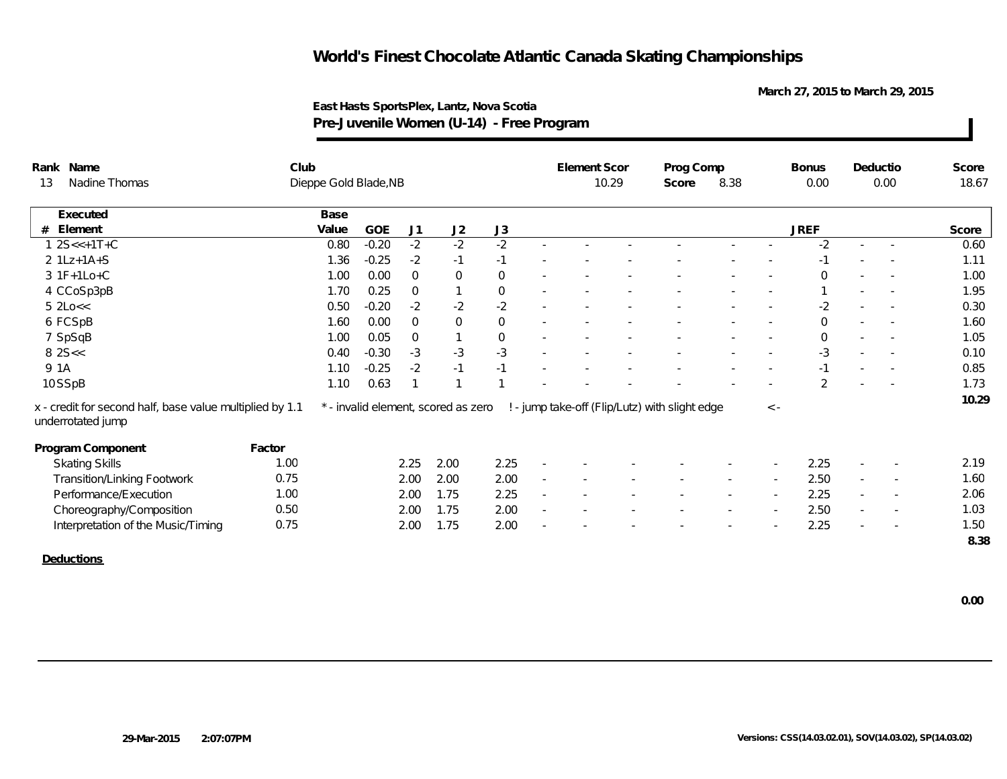**March 27, 2015 to March 29, 2015**

| Rank Name                   |                                                          | Club   |                       |         |                |                                     |                     |        | <b>Element Scor</b> |       | Prog Comp                                      |  |             | <b>Bonus</b>   | Deductio                 |                          | Score |
|-----------------------------|----------------------------------------------------------|--------|-----------------------|---------|----------------|-------------------------------------|---------------------|--------|---------------------|-------|------------------------------------------------|--|-------------|----------------|--------------------------|--------------------------|-------|
| Nadine Thomas<br>13         |                                                          |        | Dieppe Gold Blade, NB |         |                |                                     |                     |        |                     | 10.29 | 8.38<br>Score                                  |  |             | 0.00           | 0.00                     |                          | 18.67 |
| Executed                    |                                                          |        | Base                  |         |                |                                     |                     |        |                     |       |                                                |  |             |                |                          |                          |       |
| Element<br>#                |                                                          |        | Value                 | GOE     | J1             | J2                                  | J3                  |        |                     |       |                                                |  |             | <b>JREF</b>    |                          |                          | Score |
| $12S < +1T + C$             |                                                          |        | 0.80                  | $-0.20$ | $-2$           | $-2$                                | $-2$                | $\sim$ |                     |       |                                                |  |             | $-2$           | ×.                       |                          | 0.60  |
| $2 1Lz+1A+S$                |                                                          |        | 1.36                  | $-0.25$ | $-2$           | $-1$                                | $-1$                |        |                     |       |                                                |  |             | $-1$           |                          |                          | 1.11  |
| 3 1F+1Lo+C                  |                                                          |        | 1.00                  | 0.00    | $\overline{0}$ | $\mathsf{O}$                        | $\mathbf 0$         |        |                     |       |                                                |  |             | $\Omega$       |                          |                          | 1.00  |
| 4 CCoSp3pB                  |                                                          |        | 1.70                  | 0.25    | $\overline{0}$ |                                     | $\boldsymbol{0}$    |        |                     |       |                                                |  |             |                |                          |                          | 1.95  |
| $5$ 2Lo $<<$                |                                                          |        | 0.50                  | $-0.20$ | $-2$           | $-2$                                | $-2$                | $\sim$ |                     |       |                                                |  |             | $-2$           | $\sim$                   |                          | 0.30  |
| 6 FCSpB                     |                                                          |        | 1.60                  | 0.00    | $\overline{0}$ | $\mathbf 0$                         | $\overline{0}$      | $\sim$ |                     |       |                                                |  |             | $\mathbf 0$    | $\overline{\phantom{a}}$ |                          | 1.60  |
| 7 SpSqB                     |                                                          |        | 1.00                  | 0.05    | $\mathbf 0$    |                                     | $\mathsf{O}\xspace$ |        |                     |       |                                                |  |             | $\overline{0}$ |                          | $\sim$                   | 1.05  |
| 82S <                       |                                                          |        | 0.40                  | $-0.30$ | $-3$           | $-3$                                | $-3$                |        |                     |       |                                                |  |             | $-3$           |                          |                          | 0.10  |
| 9 1A                        |                                                          |        | 1.10                  | $-0.25$ | $-2$           | $-1$                                | $-1$                |        |                     |       |                                                |  |             |                |                          |                          | 0.85  |
| 10SSpB                      |                                                          |        | 1.10                  | 0.63    | $\mathbf{1}$   |                                     |                     |        |                     |       |                                                |  |             | $\mathfrak{D}$ |                          |                          | 1.73  |
| underrotated jump           | x - credit for second half, base value multiplied by 1.1 |        |                       |         |                | * - invalid element, scored as zero |                     |        |                     |       | ! - jump take-off (Flip/Lutz) with slight edge |  | $\langle$ - |                |                          |                          | 10.29 |
| Program Component           |                                                          | Factor |                       |         |                |                                     |                     |        |                     |       |                                                |  |             |                |                          |                          |       |
| <b>Skating Skills</b>       |                                                          | 1.00   |                       |         | 2.25           | 2.00                                | 2.25                |        |                     |       |                                                |  |             | 2.25           |                          |                          | 2.19  |
| Transition/Linking Footwork |                                                          | 0.75   |                       |         | 2.00           | 2.00                                | 2.00                |        |                     |       |                                                |  |             | 2.50           | $\sim$                   | $\overline{\phantom{a}}$ | 1.60  |
| Performance/Execution       |                                                          | 1.00   |                       |         | 2.00           | 1.75                                | 2.25                | $\sim$ |                     |       |                                                |  |             | 2.25           | $\sim$                   | $\overline{\phantom{a}}$ | 2.06  |
| Choreography/Composition    |                                                          | 0.50   |                       |         | 2.00           | 1.75                                | 2.00                | $\sim$ |                     |       |                                                |  |             | 2.50           | $\overline{\phantom{a}}$ | $\overline{\phantom{a}}$ | 1.03  |
|                             | Interpretation of the Music/Timing                       | 0.75   |                       |         | 2.00           | 1.75                                | 2.00                |        |                     |       |                                                |  |             | 2.25           |                          |                          | 1.50  |
|                             |                                                          |        |                       |         |                |                                     |                     |        |                     |       |                                                |  |             |                |                          |                          | 8.38  |
| Deductions                  |                                                          |        |                       |         |                |                                     |                     |        |                     |       |                                                |  |             |                |                          |                          |       |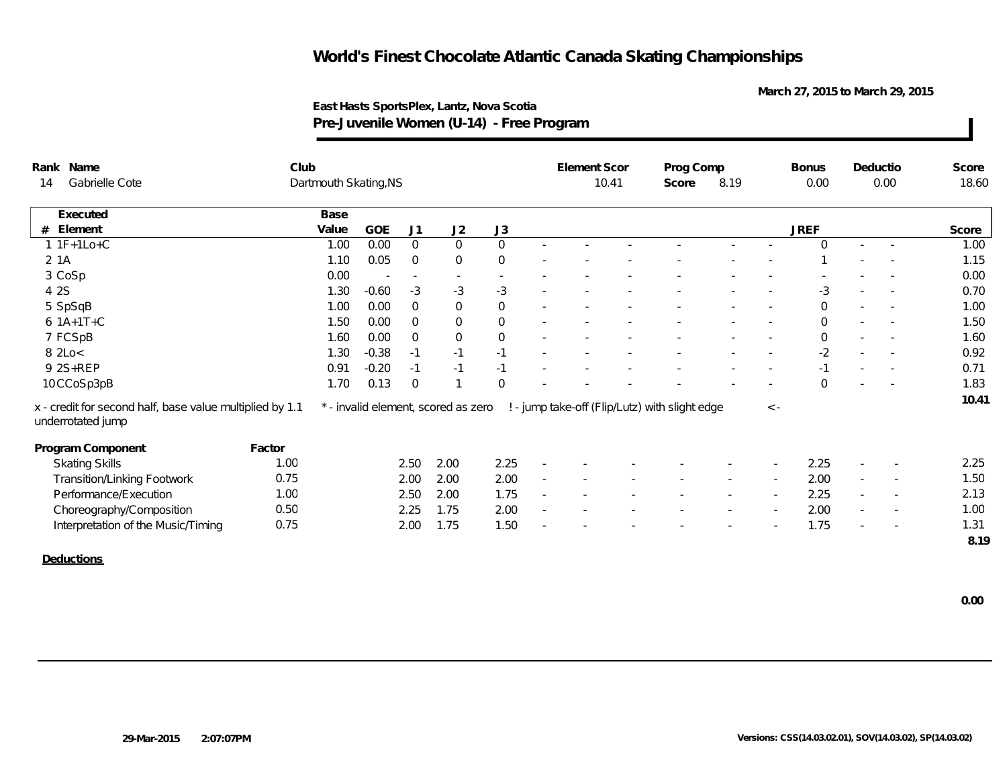**March 27, 2015 to March 29, 2015**

| Rank Name                                                                     | Club   |                       |                          |                |                                     |                          |                          | Element Scor |  | Prog Comp                                      |               |                          | <b>Bonus</b> | Deductio                 |        | Score |
|-------------------------------------------------------------------------------|--------|-----------------------|--------------------------|----------------|-------------------------------------|--------------------------|--------------------------|--------------|--|------------------------------------------------|---------------|--------------------------|--------------|--------------------------|--------|-------|
| Gabrielle Cote<br>14                                                          |        | Dartmouth Skating, NS |                          |                |                                     |                          |                          | 10.41        |  |                                                | 8.19<br>Score |                          | 0.00         | 0.00                     |        | 18.60 |
| Executed                                                                      |        | Base                  |                          |                |                                     |                          |                          |              |  |                                                |               |                          |              |                          |        |       |
| $#$ Element                                                                   |        | Value                 | <b>GOE</b>               | J1             | J2                                  | J3                       |                          |              |  |                                                |               |                          | <b>JREF</b>  |                          |        | Score |
| $11F+1Lo+C$                                                                   |        | 1.00                  | 0.00                     | $\overline{0}$ | $\overline{0}$                      | $\mathsf{O}$             | $\sim$                   |              |  |                                                |               |                          | $\Omega$     | $\sim$                   | $\sim$ | 1.00  |
| 2 1 A                                                                         |        | 1.10                  | 0.05                     | $\overline{0}$ | $\overline{0}$                      | $\mathbf{0}$             |                          |              |  |                                                |               |                          |              |                          |        | 1.15  |
| 3 CoSp                                                                        |        | 0.00                  | $\overline{\phantom{a}}$ | $\sim$         | $\sim$                              | $\overline{\phantom{a}}$ |                          |              |  |                                                |               |                          |              |                          |        | 0.00  |
| 4 2 S                                                                         |        | 1.30                  | $-0.60$                  | $-3$           | $-3$                                | $-3$                     | $\sim$                   |              |  |                                                |               |                          | $-3$         |                          |        | 0.70  |
| 5 SpSqB                                                                       |        | 1.00                  | 0.00                     | $\overline{0}$ | $\mathbf 0$                         | $\mathsf{O}$             | ٠                        |              |  |                                                |               |                          | $\mathbf 0$  | $\overline{\phantom{a}}$ |        | 1.00  |
| $6.1A+1T+C$                                                                   |        | 1.50                  | 0.00                     | $\overline{0}$ | $\overline{0}$                      | $\mathsf{O}$             |                          |              |  |                                                |               |                          | $\mathbf 0$  |                          |        | 1.50  |
| 7 FCSpB                                                                       |        | 1.60                  | 0.00                     | $\overline{0}$ | $\mathbf 0$                         | $\mathsf{O}\xspace$      |                          |              |  |                                                |               |                          | $\mathbf 0$  |                          |        | 1.60  |
| 8 2Lo<                                                                        |        | 1.30                  | $-0.38$                  | $-1$           | $-1$                                | $-1$                     | $\overline{\phantom{a}}$ |              |  |                                                |               |                          | $-2$         | $\sim$                   |        | 0.92  |
| 9 2S+REP                                                                      |        | 0.91                  | $-0.20$                  | $-1$           | $-1$                                | $-1$                     |                          |              |  |                                                |               |                          | $-1$         | $\overline{\phantom{a}}$ |        | 0.71  |
| 10CCoSp3pB                                                                    |        | 1.70                  | 0.13                     | $\overline{0}$ |                                     | $\mathbf{0}$             |                          |              |  |                                                |               |                          | $\Omega$     |                          |        | 1.83  |
| x - credit for second half, base value multiplied by 1.1<br>underrotated jump |        |                       |                          |                | * - invalid element, scored as zero |                          |                          |              |  | ! - jump take-off (Flip/Lutz) with slight edge |               | $\langle -$              |              |                          |        | 10.41 |
| Program Component                                                             | Factor |                       |                          |                |                                     |                          |                          |              |  |                                                |               |                          |              |                          |        |       |
| <b>Skating Skills</b>                                                         | 1.00   |                       |                          | 2.50           | 2.00                                | 2.25                     |                          |              |  |                                                |               |                          | 2.25         |                          |        | 2.25  |
| Transition/Linking Footwork                                                   | 0.75   |                       |                          | 2.00           | 2.00                                | 2.00                     |                          |              |  |                                                |               |                          | 2.00         | $\overline{\phantom{a}}$ |        | 1.50  |
| Performance/Execution                                                         | 1.00   |                       |                          | 2.50           | 2.00                                | 1.75                     |                          |              |  |                                                | $\sim$        | $\overline{\phantom{a}}$ | 2.25         | $\sim$                   | $\sim$ | 2.13  |
| Choreography/Composition                                                      | 0.50   |                       |                          | 2.25           | 1.75                                | 2.00                     | $\overline{\phantom{a}}$ |              |  |                                                |               | $\sim$                   | 2.00         | $\overline{\phantom{a}}$ |        | 1.00  |
| Interpretation of the Music/Timing                                            | 0.75   |                       |                          | 2.00           | 1.75                                | 1.50                     |                          |              |  |                                                |               |                          | 1.75         |                          |        | 1.31  |
|                                                                               |        |                       |                          |                |                                     |                          |                          |              |  |                                                |               |                          |              |                          |        | 8.19  |
| Deductions                                                                    |        |                       |                          |                |                                     |                          |                          |              |  |                                                |               |                          |              |                          |        |       |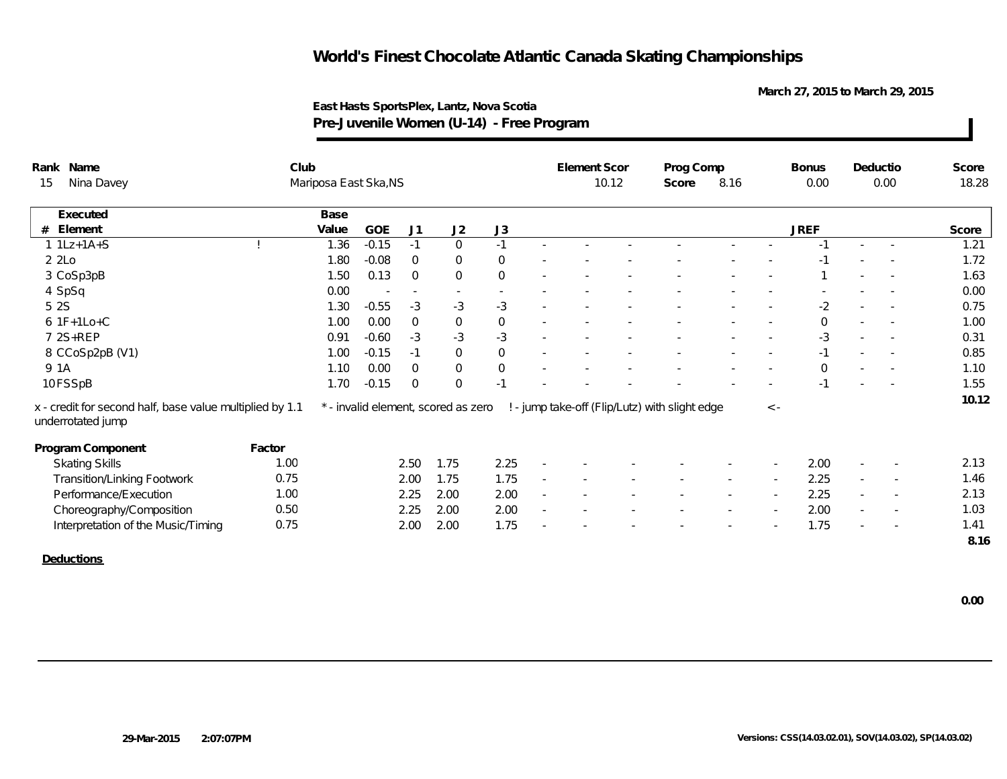**March 27, 2015 to March 29, 2015**

| Rank Name                                                                     | Club   |                       |         |                |                                     |                  |                          | Element Scor |  | Prog Comp                                      |        |                          | <b>Bonus</b> |        | Deductio                 | Score |
|-------------------------------------------------------------------------------|--------|-----------------------|---------|----------------|-------------------------------------|------------------|--------------------------|--------------|--|------------------------------------------------|--------|--------------------------|--------------|--------|--------------------------|-------|
| Nina Davey<br>15                                                              |        | Mariposa East Ska, NS |         |                |                                     |                  |                          |              |  | Score                                          |        | 0.00                     | 0.00         |        | 18.28                    |       |
| Executed                                                                      |        | Base                  |         |                |                                     |                  |                          |              |  |                                                |        |                          |              |        |                          |       |
| Element<br>#                                                                  |        | Value                 | GOE     | J <sub>1</sub> | J2                                  | J3               |                          |              |  |                                                |        |                          | <b>JREF</b>  |        |                          | Score |
| $1 1Lz+1A+S$                                                                  |        | 1.36                  | $-0.15$ | $-1$           | $\overline{0}$                      | $-1$             | $\sim$                   |              |  |                                                |        |                          | $-1$         |        |                          | 1.21  |
| 22                                                                            |        | 1.80                  | $-0.08$ | $\overline{0}$ | $\overline{0}$                      | $\mathbf{0}$     |                          |              |  |                                                |        |                          | $-1$         |        |                          | 1.72  |
| 3 CoSp3pB                                                                     |        | 1.50                  | 0.13    | $\Omega$       | $\Omega$                            | $\mathbf 0$      |                          |              |  |                                                |        |                          |              |        |                          | 1.63  |
| 4 SpSq                                                                        |        | 0.00                  |         | $\sim$         | $\sim$                              |                  |                          |              |  |                                                |        |                          |              |        |                          | 0.00  |
| 5 2 S                                                                         |        | 1.30                  | $-0.55$ | $-3$           | $-3$                                | $-3$             | $\sim$                   |              |  |                                                |        | $\overline{\phantom{a}}$ | $-2$         | $\sim$ |                          | 0.75  |
| $6$ 1F+1Lo+C                                                                  |        | 1.00                  | 0.00    | $\overline{0}$ | $\boldsymbol{0}$                    | $\boldsymbol{0}$ | $\overline{\phantom{a}}$ |              |  |                                                |        |                          | $\mathbf 0$  | $\sim$ |                          | 1.00  |
| 7 2S+REP                                                                      |        | 0.91                  | $-0.60$ | $-3$           | $-3$                                | $-3$             |                          |              |  |                                                |        | $\sim$                   | $-3$         |        | $\overline{\phantom{a}}$ | 0.31  |
| 8 CCoSp2pB (V1)                                                               |        | 1.00                  | $-0.15$ | $-1$           | $\mathsf{O}\xspace$                 | $\mathbf 0$      |                          |              |  |                                                |        |                          | $-1$         |        |                          | 0.85  |
| 9 1A                                                                          |        | 1.10                  | 0.00    | $\overline{0}$ | $\mathbf 0$                         | $\mathbf 0$      |                          |              |  |                                                |        |                          | $\mathbf 0$  |        |                          | 1.10  |
| 10 FSSpB                                                                      |        | 1.70                  | $-0.15$ | $\Omega$       | $\Omega$                            | ÷.               |                          |              |  |                                                |        |                          | $-1$         |        |                          | 1.55  |
| x - credit for second half, base value multiplied by 1.1<br>underrotated jump |        |                       |         |                | * - invalid element, scored as zero |                  |                          |              |  | ! - jump take-off (Flip/Lutz) with slight edge |        | $\langle$ -              |              |        |                          | 10.12 |
| Program Component                                                             | Factor |                       |         |                |                                     |                  |                          |              |  |                                                |        |                          |              |        |                          |       |
| <b>Skating Skills</b>                                                         | 1.00   |                       |         | 2.50           | 1.75                                | 2.25             | $\overline{\phantom{a}}$ |              |  |                                                |        |                          | 2.00         |        |                          | 2.13  |
| Transition/Linking Footwork                                                   | 0.75   |                       |         | 2.00           | 1.75                                | 1.75             | $\overline{\phantom{a}}$ |              |  |                                                |        |                          | 2.25         | $\sim$ |                          | 1.46  |
| Performance/Execution                                                         | 1.00   |                       |         | 2.25           | 2.00                                | 2.00             |                          |              |  |                                                | $\sim$ | $\sim$                   | 2.25         | $\sim$ | $\overline{\phantom{a}}$ | 2.13  |
| Choreography/Composition                                                      | 0.50   |                       |         | 2.25           | 2.00                                | 2.00             |                          |              |  |                                                |        |                          | 2.00         | $\sim$ | $\overline{\phantom{a}}$ | 1.03  |
| Interpretation of the Music/Timing                                            | 0.75   |                       |         | 2.00           | 2.00                                | 1.75             |                          |              |  |                                                |        |                          | 1.75         |        |                          | 1.41  |
|                                                                               |        |                       |         |                |                                     |                  |                          |              |  |                                                |        |                          |              |        |                          | 8.16  |
| Deductions                                                                    |        |                       |         |                |                                     |                  |                          |              |  |                                                |        |                          |              |        |                          |       |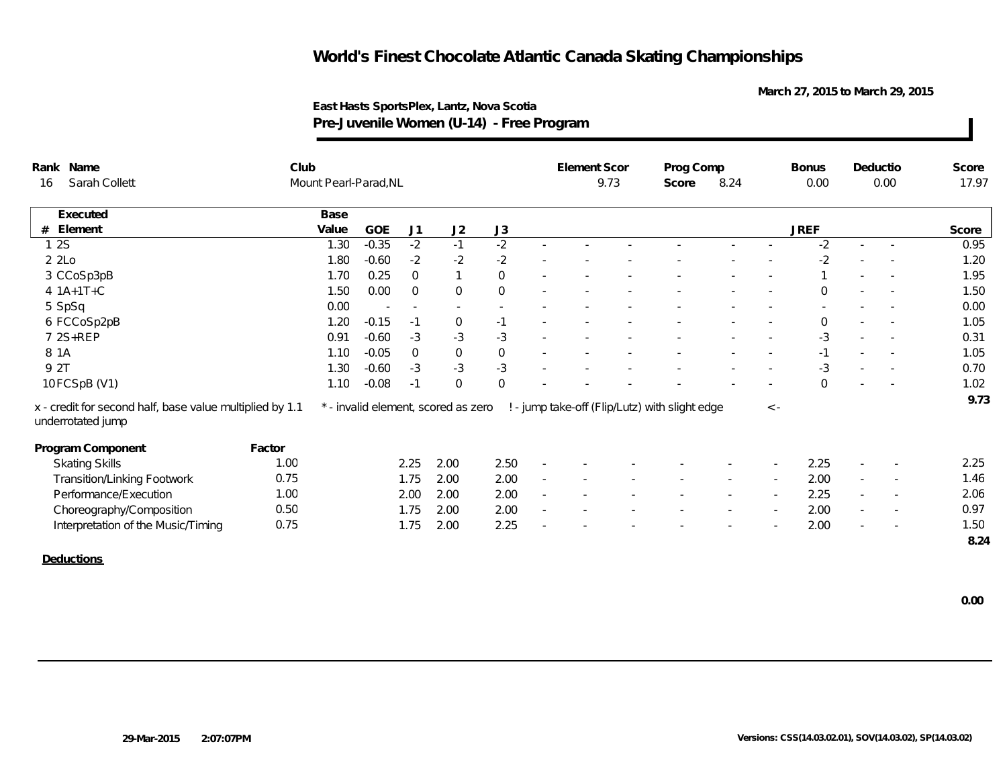**March 27, 2015 to March 29, 2015**

|                     | Rank Name                                                                     | Club   |                       |         |                          |                                     |                     | Element Scor |  | Prog Comp                                      |        |                          | <b>Bonus</b> |                          | Deductio                 | Score |
|---------------------|-------------------------------------------------------------------------------|--------|-----------------------|---------|--------------------------|-------------------------------------|---------------------|--------------|--|------------------------------------------------|--------|--------------------------|--------------|--------------------------|--------------------------|-------|
| Sarah Collett<br>16 |                                                                               |        | Mount Pearl-Parad, NL |         |                          |                                     |                     | 9.73         |  | Score                                          | 8.24   |                          | 0.00         | 0.00                     |                          | 17.97 |
|                     | Executed                                                                      |        | Base                  |         |                          |                                     |                     |              |  |                                                |        |                          |              |                          |                          |       |
| #                   | Element                                                                       |        | Value                 | GOE     | J1                       | J2                                  | J3                  |              |  |                                                |        |                          | <b>JREF</b>  |                          |                          | Score |
|                     | 12S                                                                           |        | 1.30                  | $-0.35$ | $-2$                     | $-1$                                | $-2$                |              |  |                                                |        |                          | $-2$         |                          |                          | 0.95  |
|                     | 2 2Lo                                                                         |        | 1.80                  | $-0.60$ | $-2$                     | $-2$                                | $-2$                |              |  |                                                |        |                          | $-2$         |                          |                          | 1.20  |
|                     | 3 CCoSp3pB                                                                    |        | 1.70                  | 0.25    | $\Omega$                 | $\mathbf{1}$                        | $\mathbf 0$         |              |  |                                                |        |                          |              |                          |                          | 1.95  |
|                     | $4 1A+1T+C$                                                                   |        | 1.50                  | 0.00    | $\Omega$                 | $\mathbf 0$                         | $\mathbf 0$         |              |  |                                                |        |                          | $\Omega$     |                          |                          | 1.50  |
|                     | 5 SpSq                                                                        |        | 0.00                  |         | $\overline{\phantom{a}}$ | $\sim$                              |                     |              |  |                                                |        |                          |              |                          |                          | 0.00  |
|                     | 6 FCCoSp2pB                                                                   |        | 1.20                  | $-0.15$ | $-1$                     | $\mathbf 0$                         | $-1$                |              |  |                                                |        |                          | $\Omega$     |                          |                          | 1.05  |
|                     | 7 2S+REP                                                                      |        | 0.91                  | $-0.60$ | $-3$                     | $-3$                                | $-3$                |              |  |                                                |        |                          | $-3$         |                          |                          | 0.31  |
| 8 1 A               |                                                                               |        | 1.10                  | $-0.05$ | $\overline{0}$           | $\mathbf 0$                         | $\mathsf{O}\xspace$ |              |  |                                                |        |                          | $-1$         | $\overline{\phantom{a}}$ |                          | 1.05  |
| 9 2T                |                                                                               |        | 1.30                  | $-0.60$ | $-3$                     | $-3$                                | $-3$                |              |  |                                                |        |                          | $-3$         |                          |                          | 0.70  |
|                     | 10 FCSpB (V1)                                                                 |        | 1.10                  | $-0.08$ | $-1$                     | $\mathbf{0}$                        | $\mathbf{0}$        |              |  |                                                |        |                          | $\Omega$     |                          |                          | 1.02  |
|                     | x - credit for second half, base value multiplied by 1.1<br>underrotated jump |        |                       |         |                          | * - invalid element, scored as zero |                     |              |  | ! - jump take-off (Flip/Lutz) with slight edge |        | $\,<\,$ -                |              |                          |                          | 9.73  |
|                     | Program Component                                                             | Factor |                       |         |                          |                                     |                     |              |  |                                                |        |                          |              |                          |                          |       |
|                     | <b>Skating Skills</b>                                                         | 1.00   |                       |         | 2.25                     | 2.00                                | 2.50                |              |  |                                                |        |                          | 2.25         |                          |                          | 2.25  |
|                     | Transition/Linking Footwork                                                   | 0.75   |                       |         | 1.75                     | 2.00                                | 2.00                |              |  |                                                |        |                          | 2.00         | $\overline{\phantom{a}}$ |                          | 1.46  |
|                     | Performance/Execution                                                         | 1.00   |                       |         | 2.00                     | 2.00                                | 2.00                |              |  |                                                | $\sim$ | $\sim$                   | 2.25         | $\sim$                   | $\overline{\phantom{a}}$ | 2.06  |
|                     | Choreography/Composition                                                      | 0.50   |                       |         | 1.75                     | 2.00                                | 2.00                |              |  |                                                |        | $\overline{\phantom{a}}$ | 2.00         | $\sim$                   |                          | 0.97  |
|                     | Interpretation of the Music/Timing                                            | 0.75   |                       |         | 1.75                     | 2.00                                | 2.25                |              |  |                                                |        |                          | 2.00         |                          |                          | 1.50  |
|                     |                                                                               |        |                       |         |                          |                                     |                     |              |  |                                                |        |                          |              |                          |                          | 8.24  |
|                     | Deductions                                                                    |        |                       |         |                          |                                     |                     |              |  |                                                |        |                          |              |                          |                          |       |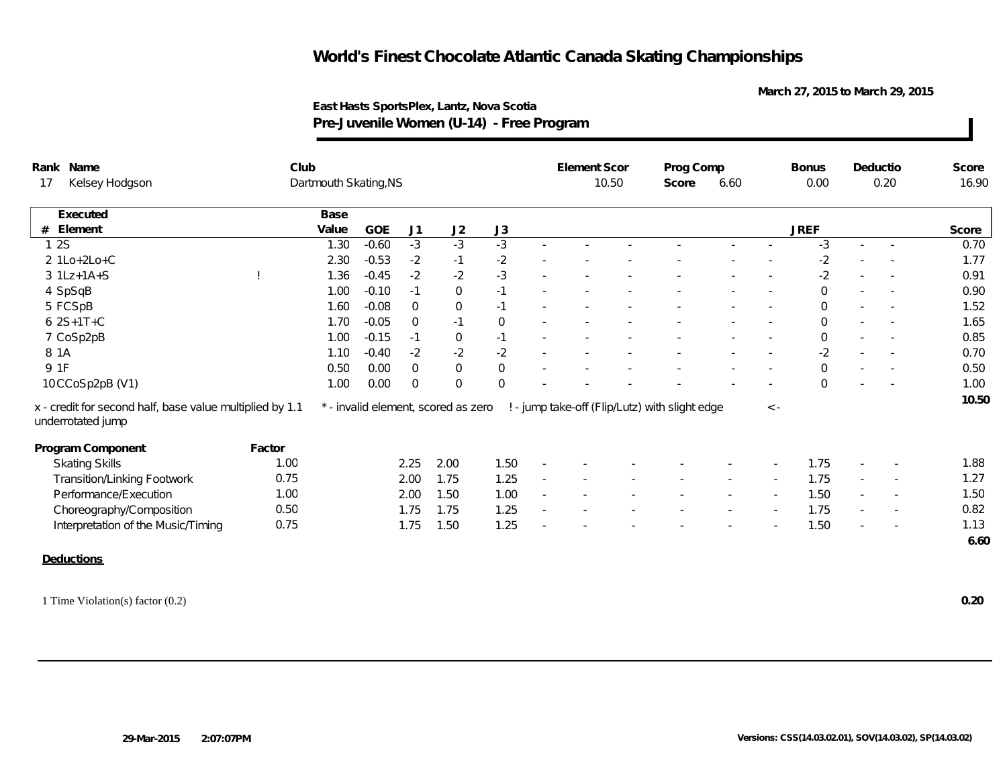**March 27, 2015 to March 29, 2015**

| Prog Comp<br>Club<br>Rank Name<br>Deductio<br>Dartmouth Skating, NS<br>10.50<br>0.00<br>0.20<br>Kelsey Hodgson<br>6.60<br>17<br>Score<br>Base<br>Executed<br>J3<br><b>GOE</b><br>J1<br>J2<br><b>JREF</b><br>#<br>Element<br>Value<br>$-3$<br>$-3$<br>$-3$<br>$-3$<br>12S<br>$-0.60$<br>1.30<br>$\sim$<br>2 1Lo+2Lo+C<br>$-2$<br>$-2$<br>$-2$<br>2.30<br>$-0.53$<br>$-1$ | Score<br>16.90<br>Score<br>0.70<br>1.77 |
|-------------------------------------------------------------------------------------------------------------------------------------------------------------------------------------------------------------------------------------------------------------------------------------------------------------------------------------------------------------------------|-----------------------------------------|
|                                                                                                                                                                                                                                                                                                                                                                         |                                         |
|                                                                                                                                                                                                                                                                                                                                                                         |                                         |
|                                                                                                                                                                                                                                                                                                                                                                         |                                         |
|                                                                                                                                                                                                                                                                                                                                                                         |                                         |
|                                                                                                                                                                                                                                                                                                                                                                         |                                         |
| $-2$<br>$-3$<br>$-0.45$<br>$-2$<br>$-2$<br>$3$ 1Lz+1A+S<br>1.36                                                                                                                                                                                                                                                                                                         | 0.91                                    |
| $\mathsf{O}$<br>4 SpSqB<br>1.00<br>$-0.10$<br>$-1$<br>$\overline{0}$<br>$-1$<br>$\sim$<br>×.                                                                                                                                                                                                                                                                            | 0.90                                    |
| 5 FCSpB<br>$-0.08$<br>$\overline{0}$<br>$\overline{0}$<br>1.60<br>$-1$<br>$\mathbf 0$                                                                                                                                                                                                                                                                                   | 1.52                                    |
| $62S+1T+C$<br>1.70<br>$-0.05$<br>$\overline{0}$<br>$-1$<br>$\mathbf 0$<br>$\mathbf 0$                                                                                                                                                                                                                                                                                   | 1.65                                    |
| $\mathbf 0$<br>7 CoSp2pB<br>$-0.15$<br>1.00<br>$-1$<br>$-1$<br>$\mathbf 0$                                                                                                                                                                                                                                                                                              | 0.85                                    |
| 8 1 A<br>$-2$<br>$-2$<br>$-2$<br>$-2$<br>1.10<br>$-0.40$<br>$\sim$<br>$\sim$                                                                                                                                                                                                                                                                                            | 0.70                                    |
| 9 1F<br>$\Omega$<br>$\mathbf 0$<br>$\Omega$<br>0.50<br>0.00<br>$\Omega$                                                                                                                                                                                                                                                                                                 | 0.50                                    |
| 10 CCoSp2pB (V1)<br>$\overline{0}$<br>1.00<br>0.00<br>$\overline{0}$<br>$\overline{0}$<br>$\Omega$                                                                                                                                                                                                                                                                      | 1.00                                    |
| x - credit for second half, base value multiplied by 1.1<br>* - invalid element, scored as zero<br>! - jump take-off (Flip/Lutz) with slight edge<br>$\,<\,$ -<br>underrotated jump                                                                                                                                                                                     | 10.50                                   |
|                                                                                                                                                                                                                                                                                                                                                                         |                                         |
| Program Component<br>Factor                                                                                                                                                                                                                                                                                                                                             |                                         |
| 2.00<br><b>Skating Skills</b><br>1.00<br>2.25<br>1.50<br>1.75                                                                                                                                                                                                                                                                                                           | 1.88                                    |
| 1.75<br>0.75<br>1.75<br><b>Transition/Linking Footwork</b><br>2.00<br>1.25<br>$\overline{\phantom{a}}$<br>$\sim$                                                                                                                                                                                                                                                        | 1.27                                    |
| Performance/Execution<br>1.00<br>2.00<br>1.50<br>1.00<br>1.50                                                                                                                                                                                                                                                                                                           | 1.50                                    |
| Choreography/Composition<br>0.50<br>1.75<br>1.25<br>1.75<br>1.75<br>$\sim$<br>$\sim$<br>$\overline{\phantom{a}}$<br>$\sim$                                                                                                                                                                                                                                              | 0.82                                    |
| 0.75<br>1.50<br>1.75<br>1.50<br>1.25<br>Interpretation of the Music/Timing                                                                                                                                                                                                                                                                                              | 1.13                                    |
|                                                                                                                                                                                                                                                                                                                                                                         | 6.60                                    |
| <b>Deductions</b>                                                                                                                                                                                                                                                                                                                                                       |                                         |
|                                                                                                                                                                                                                                                                                                                                                                         |                                         |
|                                                                                                                                                                                                                                                                                                                                                                         |                                         |
| 1 Time Violation(s) factor (0.2)                                                                                                                                                                                                                                                                                                                                        | 0.20                                    |